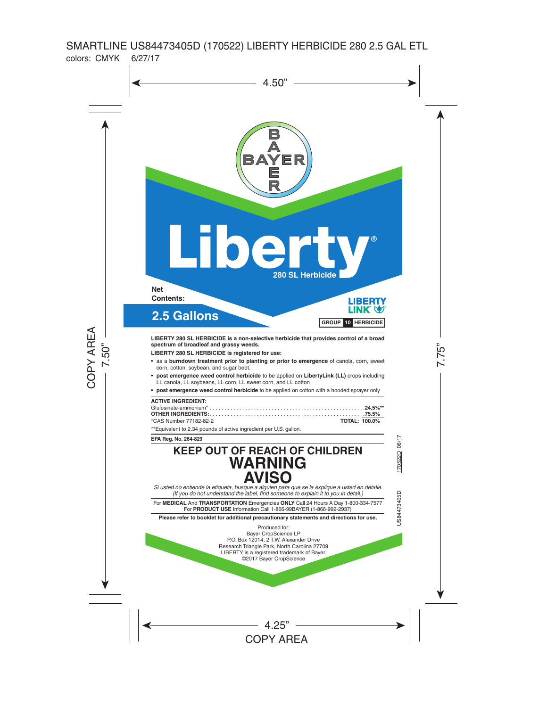

**LIBERTY 280 SL HERBICIDE is a non-selective herbicide that provides control of a broad spectrum of broadleaf and grassy weeds.**

**LIBERTY 280 SL HERBICIDE is registered for use:**

- • as a **burndown treatment prior to planting or prior to emergence** of canola, corn, sweet corn, cotton, soybean, and sugar beet.
- • **post emergence weed control herbicide** to be applied on **LibertyLink (LL)** crops including LL canola, LL soybeans, LL corn, LL sweet corn, and LL cotton
- • **post emergence weed control herbicide** to be applied on cotton with a hooded sprayer only

| <b>ACTIVE INGREDIENT:</b> |                      |
|---------------------------|----------------------|
|                           |                      |
|                           |                      |
| *CAS Number 77182-82-2    | <b>TOTAL: 100.0%</b> |

\*\*Equivalent to 2.34 pounds of active ingredient per U.S. gallon.

**EPA Reg. No. 264-829**

# **KEEP OUT OF REACH OF CHILDREN WARNING** *Si usted no entiende la etiqueta, busque a alguien para que se la explique a usted en detalle.*  **AVISO**

*(If you do not understand the label, find someone to explain it to you in detail.)*

For **MEDICAL** And **TRANSPORTATION** Emergencies **ONLY** Call 24 Hours A Day 1-800-334-7577 For **PRODUCT USE** Information Call 1-866-99BAYER (1-866-992-2937)

**Please refer to booklet for additional precautionary statements and directions for use.** 

Produced for: Bayer CropScience LP P.O. Box 12014, 2 T.W. Alexander Drive Research Triangle Park, North Carolina 27709 LIBERTY is a registered trademark of Bayer. ©2017 Bayer CropScience

US84473405D 170522D 06/17 US84473405D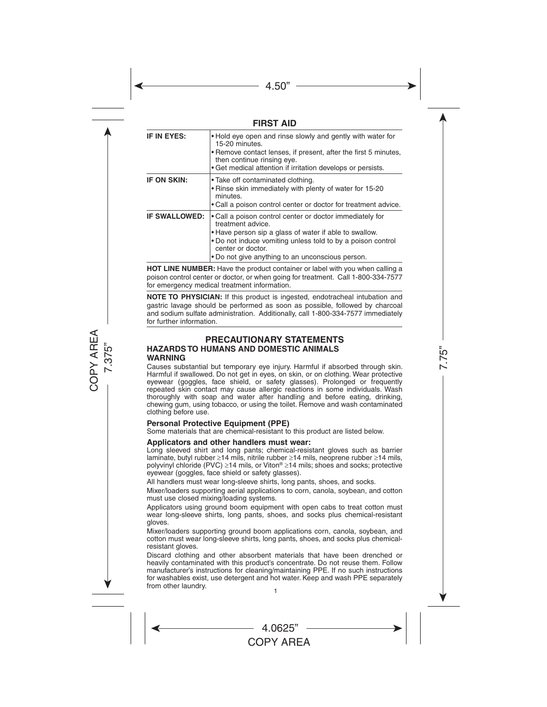## **FIRST AID**

| IF IN EYES:          | • Hold eye open and rinse slowly and gently with water for<br>15-20 minutes.<br>• Remove contact lenses, if present, after the first 5 minutes,<br>then continue rinsing eye.<br>• Get medical attention if irritation develops or persists.                                    |
|----------------------|---------------------------------------------------------------------------------------------------------------------------------------------------------------------------------------------------------------------------------------------------------------------------------|
| <b>IF ON SKIN:</b>   | • Take off contaminated clothing.<br>• Rinse skin immediately with plenty of water for 15-20<br>minutes.<br>• Call a poison control center or doctor for treatment advice.                                                                                                      |
| <b>IF SWALLOWED:</b> | • Call a poison control center or doctor immediately for<br>treatment advice.<br>• Have person sip a glass of water if able to swallow.<br>• Do not induce vomiting unless told to by a poison control<br>center or doctor.<br>. Do not give anything to an unconscious person. |

**HOT LINE NUMBER:** Have the product container or label with you when calling a poison control center or doctor, or when going for treatment. Call 1-800-334-7577 for emergency medical treatment information.

**NOTE TO PHYSICIAN:** If this product is ingested, endotracheal intubation and gastric lavage should be performed as soon as possible, followed by charcoal and sodium sulfate administration. Additionally, call 1-800-334-7577 immediately for further information.

#### **PRECAUTIONARY STATEMENTS HAZARDS TO HUMANS AND DOMESTIC ANIMALS WARNING**

Causes substantial but temporary eye injury. Harmful if absorbed through skin. Harmful if swallowed. Do not get in eyes, on skin, or on clothing. Wear protective eyewear (goggles, face shield, or safety glasses). Prolonged or frequently repeated skin contact may cause allergic reactions in some individuals. Wash thoroughly with soap and water after handling and before eating, drinking, chewing gum, using tobacco, or using the toilet. Remove and wash contaminated clothing before use.

#### **Personal Protective Equipment (PPE)**

Some materials that are chemical-resistant to this product are listed below.

#### **Applicators and other handlers must wear:**

Long sleeved shirt and long pants; chemical-resistant gloves such as barrier laminate, butyl rubber ≥14 mils, nitrile rubber ≥14 mils, neoprene rubber ≥14 mils, polyvinyl chloride (PVC) ≥14 mils, or Viton® ≥14 mils; shoes and socks; protective evewear (goggles, face shield or safety glasses).

All handlers must wear long-sleeve shirts, long pants, shoes, and socks.

Mixer/loaders supporting aerial applications to corn, canola, soybean, and cotton must use closed mixing/loading systems.

Applicators using ground boom equipment with open cabs to treat cotton must wear long-sleeve shirts, long pants, shoes, and socks plus chemical-resistant gloves.

Mixer/loaders supporting ground boom applications corn, canola, soybean, and cotton must wear long-sleeve shirts, long pants, shoes, and socks plus chemicalresistant gloves.

Discard clothing and other absorbent materials that have been drenched or heavily contaminated with this product's concentrate. Do not reuse them. Follow manufacturer's instructions for cleaning/maintaining PPE. If no such instructions for washables exist, use detergent and hot water. Keep and wash PPE separately from other laundry.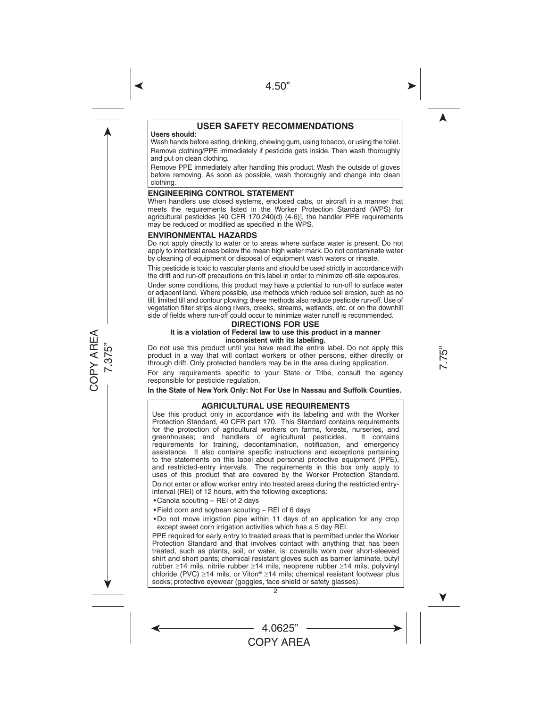## **USER SAFETY RECOMMENDATIONS**

#### **Users should:**

Wash hands before eating, drinking, chewing gum, using tobacco, or using the toilet. Remove clothing/PPE immediately if pesticide gets inside. Then wash thoroughly and put on clean clothing.

Remove PPE immediately after handling this product. Wash the outside of gloves before removing. As soon as possible, wash thoroughly and change into clean clothing.

#### **ENGINEERING CONTROL STATEMENT**

When handlers use closed systems, enclosed cabs, or aircraft in a manner that meets the requirements listed in the Worker Protection Standard (WPS) for agricultural pesticides [40 CFR 170.240(d) (4-6)], the handler PPE requirements may be reduced or modified as specified in the WPS.

#### **ENVIRONMENTAL HAZARDS**

Do not apply directly to water or to areas where surface water is present. Do not apply to intertidal areas below the mean high water mark. Do not contaminate water by cleaning of equipment or disposal of equipment wash waters or rinsate.

This pesticide is toxic to vascular plants and should be used strictly in accordance with the drift and run-off precautions on this label in order to minimize off-site exposures.

Under some conditions, this product may have a potential to run-off to surface water or adjacent land. Where possible, use methods which reduce soil erosion, such as no till, limited till and contour plowing; these methods also reduce pesticide run-off. Use of vegetation filter strips along rivers, creeks, streams, wetlands, etc. or on the downhill side of fields where run-off could occur to minimize water runoff is recommended.

#### **DIRECTIONS FOR USE**

#### **It is a violation of Federal law to use this product in a manner inconsistent with its labeling.**

Do not use this product until you have read the entire label. Do not apply this product in a way that will contact workers or other persons, either directly or through drift. Only protected handlers may be in the area during application.

For any requirements specific to your State or Tribe, consult the agency responsible for pesticide regulation.

**In the State of New York Only: Not For Use In Nassau and Suffolk Counties.**

#### **AGRICULTURAL USE REQUIREMENTS**

Use this product only in accordance with its labeling and with the Worker Protection Standard, 40 CFR part 170. This Standard contains requirements for the protection of agricultural workers on farms, forests, nurseries, and foreen to an interest of agricultural pesticides. It contains greenhouses; and handlers of agricultural pesticides. requirements for training, decontamination, notification, and emergency assistance. It also contains specific instructions and exceptions pertaining to the statements on this label about personal protective equipment (PPE), and restricted-entry intervals. The requirements in this box only apply to uses of this product that are covered by the Worker Protection Standard. Do not enter or allow worker entry into treated areas during the restricted entryinterval (REI) of 12 hours, with the following exceptions:

- • Canola scouting REI of 2 days
- Field corn and soybean scouting REI of 6 days
- • Do not move irrigation pipe within 11 days of an application for any crop except sweet corn irrigation activities which has a 5 day REI.

PPE required for early entry to treated areas that is permitted under the Worker Protection Standard and that involves contact with anything that has been treated, such as plants, soil, or water, is: coveralls worn over short-sleeved shirt and short pants; chemical resistant gloves such as barrier laminate, butyl rubber ≥14 mils, nitrile rubber ≥14 mils, neoprene rubber ≥14 mils, polyvinyl chloride (PVC) ≥14 mils, or Viton® ≥14 mils; chemical resistant footwear plus socks; protective eyewear (goggles, face shield or safety glasses).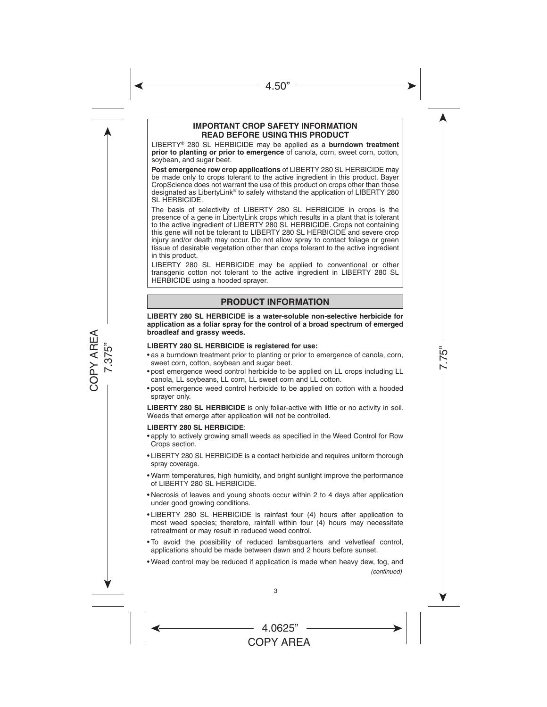#### **IMPORTANT CROP SAFETY INFORMATION READ BEFORE USING THIS PRODUCT**

LIBERTY® 280 SL HERBICIDE may be applied as a **burndown treatment prior to planting or prior to emergence** of canola, corn, sweet corn, cotton, soybean, and sugar beet.

**Post emergence row crop applications** of LIBERTY 280 SL HERBICIDE may be made only to crops tolerant to the active ingredient in this product. Bayer CropScience does not warrant the use of this product on crops other than those designated as LibertyLink® to safely withstand the application of LIBERTY 280 SL HERBICIDE.

The basis of selectivity of LIBERTY 280 SL HERBICIDE in crops is the presence of a gene in LibertyLink crops which results in a plant that is tolerant to the active ingredient of LIBERTY 280 SL HERBICIDE. Crops not containing this gene will not be tolerant to LIBERTY 280 SL HERBICIDE and severe crop injury and/or death may occur. Do not allow spray to contact foliage or green tissue of desirable vegetation other than crops tolerant to the active ingredient in this product.

LIBERTY 280 SL HERBICIDE may be applied to conventional or other transgenic cotton not tolerant to the active ingredient in LIBERTY 280 SL HERBICIDE using a hooded sprayer.

## **PRODUCT INFORMATION**

#### **LIBERTY 280 SL HERBICIDE is a water-soluble non-selective herbicide for application as a foliar spray for the control of a broad spectrum of emerged broadleaf and grassy weeds.**

#### **LIBERTY 280 SL HERBICIDE is registered for use:**

- as a burndown treatment prior to planting or prior to emergence of canola, corn, sweet corn, cotton, soybean and sugar beet.
- • post emergence weed control herbicide to be applied on LL crops including LL canola, LL soybeans, LL corn, LL sweet corn and LL cotton.
- • post emergence weed control herbicide to be applied on cotton with a hooded sprayer only.

**LIBERTY 280 SL HERBICIDE** is only foliar-active with little or no activity in soil. Weeds that emerge after application will not be controlled.

#### **LIBERTY 280 SL HERBICIDE**:

- apply to actively growing small weeds as specified in the Weed Control for Row Crops section.
- LIBERTY 280 SL HERBICIDE is a contact herbicide and requires uniform thorough spray coverage.
- • Warm temperatures, high humidity, and bright sunlight improve the performance of LIBERTY 280 SL HERBICIDE.
- • Necrosis of leaves and young shoots occur within 2 to 4 days after application under good growing conditions.
- LIBERTY 280 SL HERBICIDE is rainfast four (4) hours after application to most weed species; therefore, rainfall within four (4) hours may necessitate retreatment or may result in reduced weed control.
- • To avoid the possibility of reduced lambsquarters and velvetleaf control, applications should be made between dawn and 2 hours before sunset.
- • Weed control may be reduced if application is made when heavy dew, fog, and *(continued)*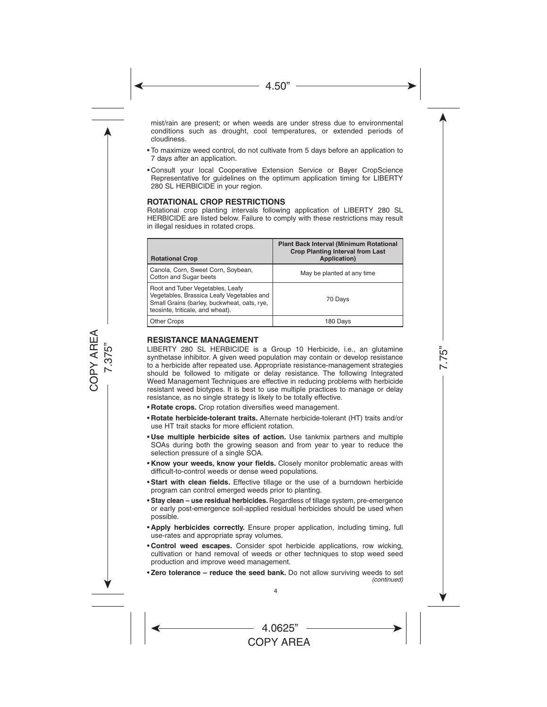mist/rain are present; or when weeds are under stress due to environmental conditions such as drought, cool temperatures, or extended periods of cloudiness.

- • To maximize weed control, do not cultivate from 5 days before an application to 7 days after an application.
- • Consult your local Cooperative Extension Service or Bayer CropScience Representative for guidelines on the optimum application timing for LIBERTY 280 SL HERBICIDE in your region.

#### **ROTATIONAL CROP RESTRICTIONS**

Rotational crop planting intervals following application of LIBERTY 280 SL HERBICIDE are listed below. Failure to comply with these restrictions may result in illegal residues in rotated crops.

| <b>Rotational Crop</b>                                                                                                                                           | <b>Plant Back Interval (Minimum Rotational</b><br><b>Crop Planting Interval from Last</b><br>Application) |
|------------------------------------------------------------------------------------------------------------------------------------------------------------------|-----------------------------------------------------------------------------------------------------------|
| Canola, Corn, Sweet Corn, Soybean,<br>Cotton and Sugar beets                                                                                                     | May be planted at any time                                                                                |
| Root and Tuber Vegetables, Leafy<br>Vegetables, Brassica Leafy Vegetables and<br>Small Grains (barley, buckwheat, oats, rye,<br>teosinte, triticale, and wheat). | 70 Days                                                                                                   |
| <b>Other Crops</b>                                                                                                                                               | 180 Days                                                                                                  |

#### **RESISTANCE MANAGEMENT**

LIBERTY 280 SL HERBICIDE is a Group 10 Herbicide, i.e., an glutamine synthetase inhibitor. A given weed population may contain or develop resistance to a herbicide after repeated use. Appropriate resistance-management strategies should be followed to mitigate or delay resistance. The following Integrated Weed Management Techniques are effective in reducing problems with herbicide resistant weed biotypes. It is best to use multiple practices to manage or delay resistance, as no single strategy is likely to be totally effective.

- **Rotate crops.** Crop rotation diversifies weed management.
- • **Rotate herbicide-tolerant traits.** Alternate herbicide-tolerant (HT) traits and/or use HT trait stacks for more efficient rotation.
- • **Use multiple herbicide sites of action.** Use tankmix partners and multiple SOAs during both the growing season and from year to year to reduce the selection pressure of a single SOA.
- • **Know your weeds, know your fields.** Closely monitor problematic areas with difficult-to-control weeds or dense weed populations.
- • **Start with clean fields.** Effective tillage or the use of a burndown herbicide program can control emerged weeds prior to planting.
- **Stay clean use residual herbicides.** Regardless of tillage system, pre-emergence or early post-emergence soil-applied residual herbicides should be used when possible.
- • **Apply herbicides correctly.** Ensure proper application, including timing, full use-rates and appropriate spray volumes.
- • **Control weed escapes.** Consider spot herbicide applications, row wicking, cultivation or hand removal of weeds or other techniques to stop weed seed production and improve weed management.
- Zero tolerance reduce the seed bank. Do not allow surviving weeds to set *(continued)*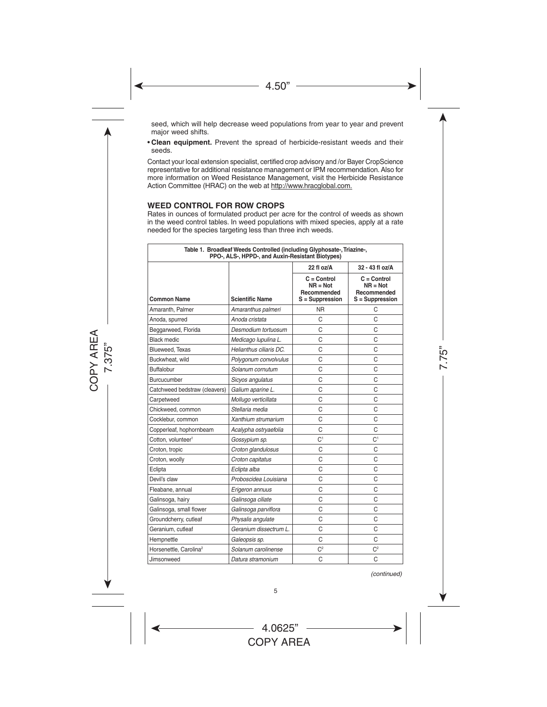seed, which will help decrease weed populations from year to year and prevent major weed shifts.

• **Clean equipment.** Prevent the spread of herbicide-resistant weeds and their seeds.

Contact your local extension specialist, certified crop advisory and /or Bayer CropScience representative for additional resistance management or IPM recommendation. Also for more information on Weed Resistance Management, visit the Herbicide Resistance Action Committee (HRAC) on the web at http://www.hracglobal.com.

#### **WEED CONTROL FOR ROW CROPS**

Rates in ounces of formulated product per acre for the control of weeds as shown in the weed control tables. In weed populations with mixed species, apply at a rate needed for the species targeting less than three inch weeds.

| Table 1. Broadleaf Weeds Controlled (including Glyphosate-, Triazine-,<br>PPO-, ALS-, HPPD-, and Auxin-Resistant Biotypes) |                         |                                                                 |                                                                 |
|----------------------------------------------------------------------------------------------------------------------------|-------------------------|-----------------------------------------------------------------|-----------------------------------------------------------------|
|                                                                                                                            |                         | 22 fl oz/A                                                      | 32 - 43 fl oz/A                                                 |
| <b>Common Name</b>                                                                                                         | <b>Scientific Name</b>  | $C = Control$<br>$NR = Not$<br>Recommended<br>$S =$ Suppression | $C = Control$<br>$NR = Not$<br>Recommended<br>$S =$ Suppression |
| Amaranth, Palmer                                                                                                           | Amaranthus palmeri      | NR.                                                             | C                                                               |
| Anoda, spurred                                                                                                             | Anoda cristata          | C                                                               | C                                                               |
| Beggarweed, Florida                                                                                                        | Desmodium tortuosum     | C                                                               | C                                                               |
| <b>Black medic</b>                                                                                                         | Medicago lupulina L.    | C                                                               | C                                                               |
| Blueweed. Texas                                                                                                            | Helianthus ciliaris DC. | C                                                               | C                                                               |
| Buckwheat, wild                                                                                                            | Polygonum convolvulus   | C                                                               | C                                                               |
| <b>Buffalobur</b>                                                                                                          | Solanum cornutum        | C                                                               | C                                                               |
| Burcucumber                                                                                                                | Sicyos angulatus        | C                                                               | Ċ                                                               |
| Catchweed bedstraw (cleavers)                                                                                              | Galium aparine L.       | C                                                               | C                                                               |
| Carpetweed                                                                                                                 | Mollugo verticillata    | C                                                               | C                                                               |
| Chickweed, common                                                                                                          | Stellaria media         | C                                                               | C                                                               |
| Cocklebur, common                                                                                                          | Xanthium strumarium     | C                                                               | C                                                               |
| Copperleaf, hophornbeam                                                                                                    | Acalypha ostryaefolia   | C                                                               | C                                                               |
| Cotton, volunteer <sup>1</sup>                                                                                             | Gossypium sp.           | C <sup>1</sup>                                                  | C <sup>1</sup>                                                  |
| Croton, tropic                                                                                                             | Croton glandulosus      | C                                                               | C                                                               |
| Croton, woolly                                                                                                             | Croton capitatus        | C                                                               | C                                                               |
| Eclipta                                                                                                                    | Eclipta alba            | C                                                               | C                                                               |
| Devil's claw                                                                                                               | Proboscidea Louisiana   | C                                                               | C                                                               |
| Fleabane, annual                                                                                                           | Erigeron annuus         | C                                                               | C                                                               |
| Galinsoga, hairy                                                                                                           | Galinsoga ciliate       | C                                                               | C                                                               |
| Galinsoga, small flower                                                                                                    | Galinsoga parviflora    | C                                                               | C                                                               |
| Groundcherry, cutleaf                                                                                                      | Physalis angulate       | C                                                               | C                                                               |
| Geranium, cutleaf                                                                                                          | Geranium dissectrum L.  | C                                                               | C                                                               |
| Hempnettle                                                                                                                 | Galeopsis sp.           | C                                                               | C                                                               |
| Horsenettle, Carolina <sup>2</sup>                                                                                         | Solanum carolinense     | C <sup>2</sup>                                                  | C <sup>2</sup>                                                  |
| Jimsonweed                                                                                                                 | Datura stramonium       | C                                                               | C                                                               |

*(continued)*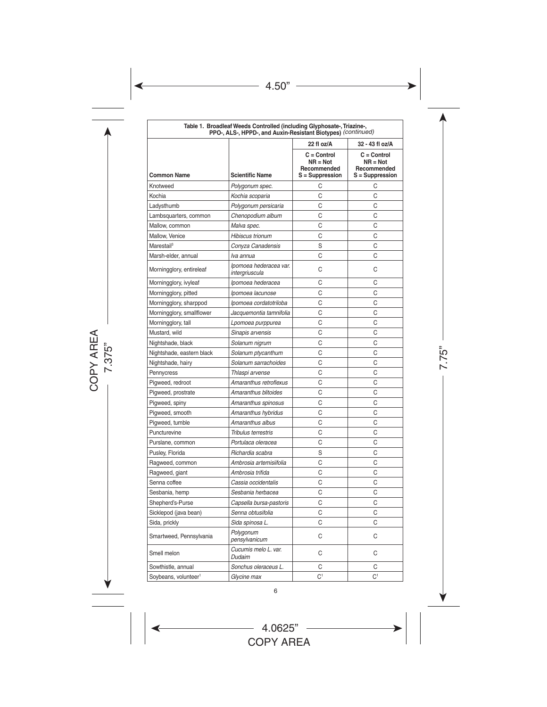| Table 1. Broadleaf Weeds Controlled (including Glyphosate-, Triazine-,<br>PPO-, ALS-, HPPD-, and Auxin-Resistant Biotypes) (continued) |                                          |                                                               |                                                               |  |
|----------------------------------------------------------------------------------------------------------------------------------------|------------------------------------------|---------------------------------------------------------------|---------------------------------------------------------------|--|
|                                                                                                                                        |                                          | 22 fl oz/A                                                    | 32 - 43 fl oz/A                                               |  |
| <b>Common Name</b>                                                                                                                     | <b>Scientific Name</b>                   | $C = Control$<br>$NR = Not$<br>Recommended<br>S = Suppression | $C = Control$<br>$NR = Not$<br>Recommended<br>S = Suppression |  |
| Knotweed                                                                                                                               | Polygonum spec.                          | C                                                             | C                                                             |  |
| Kochia                                                                                                                                 | Kochia scoparia                          | C                                                             | C                                                             |  |
| Ladysthumb                                                                                                                             | Polygonum persicaria                     | C                                                             | Ċ                                                             |  |
| Lambsquarters, common                                                                                                                  | Chenopodium album                        | С                                                             | С                                                             |  |
| Mallow, common                                                                                                                         | Malva spec.                              | C                                                             | C                                                             |  |
| Mallow, Venice                                                                                                                         | <b>Hibiscus trionum</b>                  | C                                                             | C                                                             |  |
| Marestail <sup>3</sup>                                                                                                                 | Conyza Canadensis                        | S                                                             | C                                                             |  |
| Marsh-elder, annual                                                                                                                    | lva annua                                | С                                                             | С                                                             |  |
| Morningglory, entireleaf                                                                                                               | Ipomoea hederacea var.<br>intergriuscula | C                                                             | C                                                             |  |
| Morningglory, ivyleaf                                                                                                                  | Ipomoea hederacea                        | C                                                             | C                                                             |  |
| Morningglory, pitted                                                                                                                   | Ipomoea lacunose                         | С                                                             | С                                                             |  |
| Morningglory, sharppod                                                                                                                 | Ipomoea cordatotriloba                   | C                                                             | C                                                             |  |
| Morningglory, smallflower                                                                                                              | Jacquemontia tamnifolia                  | С                                                             | С                                                             |  |
| Morningglory, tall                                                                                                                     | Lpomoea purppurea                        | C                                                             | C                                                             |  |
| Mustard, wild                                                                                                                          | Sinapis arvensis                         | С                                                             | С                                                             |  |
| Nightshade, black                                                                                                                      | Solanum nigrum                           | C                                                             | Ċ                                                             |  |
| Nightshade, eastern black                                                                                                              | Solanum ptycanthum                       | C                                                             | Ċ                                                             |  |
| Nightshade, hairy                                                                                                                      | Solanum sarrachoides                     | C                                                             | C                                                             |  |
| Pennycress                                                                                                                             | Thlaspi arvense                          | C                                                             | C                                                             |  |
| Pigweed, redroot                                                                                                                       | Amaranthus retroflexus                   | C                                                             | C                                                             |  |
| Pigweed, prostrate                                                                                                                     | Amaranthus blitoides                     | С                                                             | С                                                             |  |
| Pigweed, spiny                                                                                                                         | Amaranthus spinosus                      | C                                                             | C                                                             |  |
| Pigweed, smooth                                                                                                                        | Amaranthus hybridus                      | С                                                             | С                                                             |  |
| Pigweed, tumble                                                                                                                        | Amaranthus albus                         | C                                                             | Ċ                                                             |  |
| Puncturevine                                                                                                                           | Tribulus terrestris                      | C                                                             | C                                                             |  |
| Purslane, common                                                                                                                       | Portulaca oleracea                       | C                                                             | C                                                             |  |
| Pusley, Florida                                                                                                                        | Richardia scabra                         | S                                                             | C                                                             |  |
| Ragweed, common                                                                                                                        | Ambrosia artemisiifolia                  | C                                                             | Ċ                                                             |  |
| Ragweed, giant                                                                                                                         | Ambrosia trifida                         | C                                                             | C                                                             |  |
| Senna coffee                                                                                                                           | Cassia occidentalis                      | C                                                             | C                                                             |  |
| Sesbania, hemp                                                                                                                         | Sesbania herbacea                        | C                                                             | C                                                             |  |
| Shepherd's-Purse                                                                                                                       | Capsella bursa-pastoris                  | C                                                             | C                                                             |  |
| Sicklepod (java bean)                                                                                                                  | Senna obtusifolia                        | C                                                             | С                                                             |  |
| Sida, prickly                                                                                                                          | Sida spinosa L.                          | С                                                             | С                                                             |  |
| Smartweed, Pennsylvania                                                                                                                | Polygonum<br>pensylvanicum               | С                                                             | С                                                             |  |
| Smell melon                                                                                                                            | Cucumis melo L. var.<br>Dudaim           | C                                                             | C                                                             |  |
| Sowthistle, annual                                                                                                                     | Sonchus oleraceus L.                     | С                                                             | С                                                             |  |
| Soybeans, volunteer <sup>1</sup>                                                                                                       | Glycine max                              | C <sup>1</sup>                                                | C <sup>1</sup>                                                |  |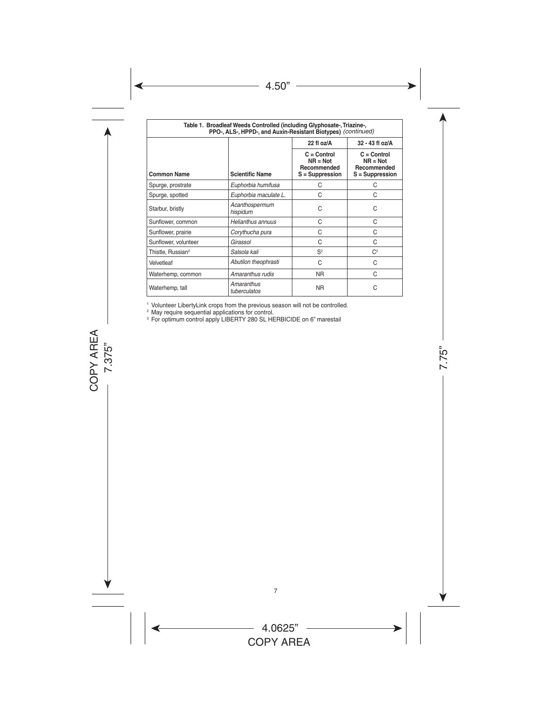| Table 1. Broadleaf Weeds Controlled (including Glyphosate-, Triazine-,<br>PPO-, ALS-, HPPD-, and Auxin-Resistant Biotypes) (continued) |                            |                                                               |                                                               |
|----------------------------------------------------------------------------------------------------------------------------------------|----------------------------|---------------------------------------------------------------|---------------------------------------------------------------|
|                                                                                                                                        |                            | 22 fl oz/A                                                    | 32 - 43 fl oz/A                                               |
| <b>Common Name</b>                                                                                                                     | <b>Scientific Name</b>     | $C = Control$<br>$NR = Not$<br>Recommended<br>S = Suppression | $C = Control$<br>$NR = Not$<br>Recommended<br>S = Suppression |
| Spurge, prostrate                                                                                                                      | Euphorbia humifusa         | C                                                             | C                                                             |
| Spurge, spotted                                                                                                                        | Euphorbia maculate L.      | C                                                             | C                                                             |
| Starbur, bristly                                                                                                                       | Acanthospermum<br>hispidum | C                                                             | C                                                             |
| Sunflower, common                                                                                                                      | Helianthus annuus          | C                                                             | C                                                             |
| Sunflower, prairie                                                                                                                     | Corythucha pura            | C                                                             | C                                                             |
| Sunflower, volunteer                                                                                                                   | Girassol                   | C                                                             | C                                                             |
| Thistle, Russian <sup>2</sup>                                                                                                          | Salsola kali               | $S^2$                                                         | C <sup>2</sup>                                                |
| Velvetleaf                                                                                                                             | Abutilon theophrasti       | C                                                             | C                                                             |
| Waterhemp, common                                                                                                                      | Amaranthus rudis           | NR.                                                           | C                                                             |
| Waterhemp, tall                                                                                                                        | Amaranthus<br>tuberculatos | <b>NR</b>                                                     | C                                                             |

<sup>1</sup> Volunteer LibertyLink crops from the previous season will not be controlled.

<sup>2</sup> May require sequential applications for control.

<sup>3</sup> For optimum control apply LIBERTY 280 SL HERBICIDE on 6" marestail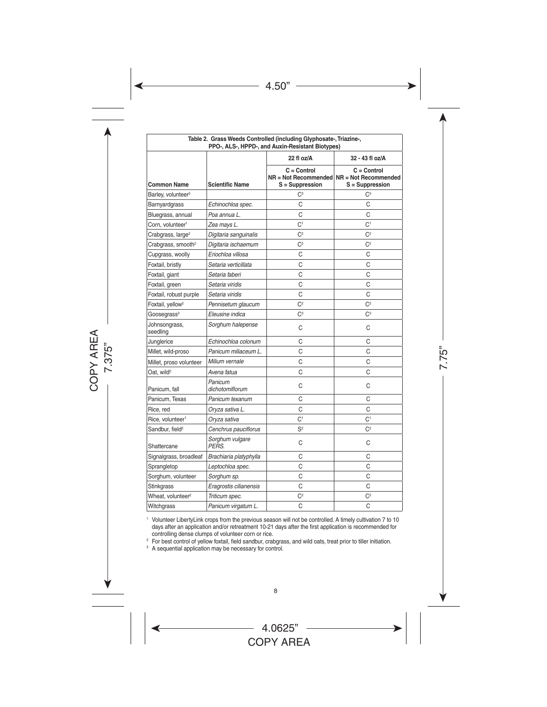| Table 2. Grass Weeds Controlled (including Glyphosate-, Triazine-,<br>PPO-, ALS-, HPPD-, and Auxin-Resistant Biotypes) |                            |                                  |                                                                               |
|------------------------------------------------------------------------------------------------------------------------|----------------------------|----------------------------------|-------------------------------------------------------------------------------|
|                                                                                                                        |                            | 22 fl oz/A                       | 32 - 43 fl oz/A                                                               |
| Common Name                                                                                                            | <b>Scientific Name</b>     | $C = Control$<br>S = Suppression | $C = Control$<br>NR = Not Recommended NR = Not Recommended<br>S = Suppression |
| Barley, volunteer <sup>3</sup>                                                                                         |                            | C <sup>3</sup>                   | C <sup>3</sup>                                                                |
| Barnyardgrass                                                                                                          | Echinochloa spec.          | C                                | C                                                                             |
| Bluegrass, annual                                                                                                      | Poa annua L.               | C                                | C                                                                             |
| Corn, volunteer <sup>1</sup>                                                                                           | Zea mays L.                | C <sup>1</sup>                   | C <sup>1</sup>                                                                |
| Crabgrass, large <sup>2</sup>                                                                                          | Digitaria sanguinalis      | C <sup>2</sup>                   | C <sup>2</sup>                                                                |
| Crabgrass, smooth <sup>2</sup>                                                                                         | Digitaria ischaemum        | C <sup>2</sup>                   | $\mathsf{C}^2$                                                                |
| Cupgrass, woolly                                                                                                       | Eriochloa villosa          | C                                | C                                                                             |
| Foxtail, bristly                                                                                                       | Setaria verticillata       | C                                | C                                                                             |
| Foxtail, giant                                                                                                         | Setaria faberi             | C                                | C                                                                             |
| Foxtail, green                                                                                                         | Setaria viridis            | C                                | C                                                                             |
| Foxtail, robust purple                                                                                                 | Setaria viridis            | C                                | C                                                                             |
| Foxtail, yellow <sup>2</sup>                                                                                           | Pennisetum glaucum         | C <sup>2</sup>                   | C <sup>2</sup>                                                                |
| Goosegrass <sup>3</sup>                                                                                                | Eleusine indica            | С <sup>3</sup>                   | $C^3$                                                                         |
| Johnsongrass,<br>seedling                                                                                              | Sorghum halepense          | C                                | C                                                                             |
| Junglerice                                                                                                             | Echinochloa colonum        | C                                | C                                                                             |
| Millet, wild-proso                                                                                                     | Panicum miliaceum L.       | C                                | C                                                                             |
| Millet, proso volunteer                                                                                                | Milium vernale             | C                                | C                                                                             |
| Oat, wild <sup>2</sup>                                                                                                 | Avena fatua                | C                                | C                                                                             |
| Panicum, fall                                                                                                          | Panicum<br>dichotomiflorum | C                                | C                                                                             |
| Panicum, Texas                                                                                                         | Panicum texanum            | C                                | C                                                                             |
| Rice, red                                                                                                              | Oryza sativa L.            | C                                | C                                                                             |
| Rice, volunteer <sup>1</sup>                                                                                           | Oryza sativa               | C <sup>1</sup>                   | C <sup>1</sup>                                                                |
| Sandbur, field <sup>2</sup>                                                                                            | Cenchrus pauciflorus       | S <sup>2</sup>                   | C <sup>2</sup>                                                                |
| Shattercane                                                                                                            | Sorghum vulgare<br>PERS.   | C                                | C                                                                             |
| Signalgrass, broadleaf                                                                                                 | Brachiaria platyphylla     | C                                | C                                                                             |
| Sprangletop                                                                                                            | Leptochloa spec.           | C                                | C                                                                             |
| Sorghum, volunteer                                                                                                     | Sorghum sp.                | C                                | C                                                                             |
| Stinkgrass                                                                                                             | Eragrostis cilianensis     | C                                | C                                                                             |
| Wheat, volunteer <sup>2</sup>                                                                                          | Triticum spec.             | $\mathsf{C}^2$                   | C <sup>2</sup>                                                                |
| Witchgrass                                                                                                             | Panicum virgatum L.        | C                                | C                                                                             |

<sup>1</sup> Volunteer LibertyLink crops from the previous season will not be controlled. A timely cultivation 7 to 10 days after an application and/or retreatment 10-21 days after the first application is recommended for controlling dense clumps of volunteer corn or rice.

<sup>2</sup> For best control of yellow foxtail, field sandbur, crabgrass, and wild oats, treat prior to tiller initiation.

<sup>3</sup> A sequential application may be necessary for control.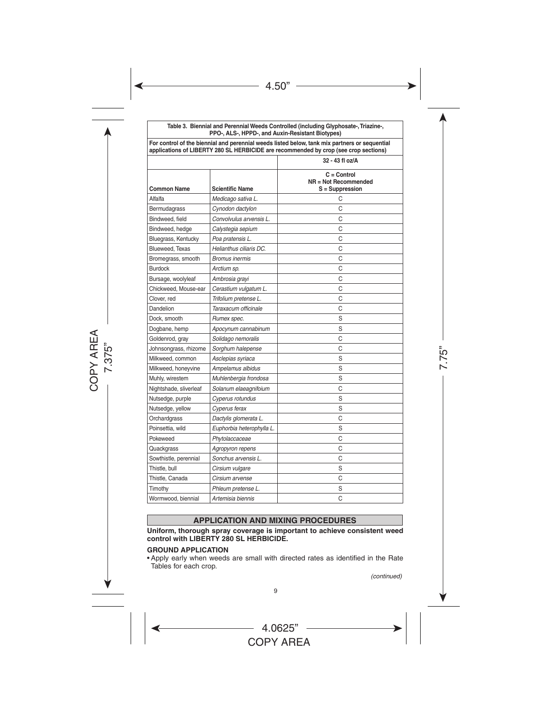**Table 3. Biennial and Perennial Weeds Controlled (including Glyphosate-, Triazine-, PPO-, ALS-, HPPD-, and Auxin-Resistant Biotypes)**

| For control of the biennial and perennial weeds listed below, tank mix partners or sequential<br>applications of LIBERTY 280 SL HERBICIDE are recommended by crop (see crop sections) |                           |                                                          |  |
|---------------------------------------------------------------------------------------------------------------------------------------------------------------------------------------|---------------------------|----------------------------------------------------------|--|
|                                                                                                                                                                                       |                           | 32 - 43 fl oz/A                                          |  |
| <b>Common Name</b>                                                                                                                                                                    | <b>Scientific Name</b>    | $C = Control$<br>NR = Not Recommended<br>S = Suppression |  |
| Alfalfa                                                                                                                                                                               | Medicago sativa L.        | С                                                        |  |
| Bermudagrass                                                                                                                                                                          | Cynodon dactylon          | C                                                        |  |
| Bindweed, field                                                                                                                                                                       | Convolvulus arvensis L.   | C                                                        |  |
| Bindweed, hedge                                                                                                                                                                       | Calystegia sepium         | C                                                        |  |
| Bluegrass, Kentucky                                                                                                                                                                   | Poa pratensis L.          | C                                                        |  |
| Blueweed, Texas                                                                                                                                                                       | Helianthus ciliaris DC.   | C                                                        |  |
| Bromegrass, smooth                                                                                                                                                                    | <b>Bromus inermis</b>     | C                                                        |  |
| <b>Burdock</b>                                                                                                                                                                        | Arctium sp.               | C                                                        |  |
| Bursage, woolyleaf                                                                                                                                                                    | Ambrosia grayi            | C                                                        |  |
| Chickweed, Mouse-ear                                                                                                                                                                  | Cerastium vulgatum L.     | C                                                        |  |
| Clover, red                                                                                                                                                                           | Trifolium pretense L.     | C                                                        |  |
| Dandelion                                                                                                                                                                             | Taraxacum officinale      | C                                                        |  |
| Dock, smooth                                                                                                                                                                          | Rumex spec.               | S                                                        |  |
| Dogbane, hemp                                                                                                                                                                         | Apocynum cannabinum       | S                                                        |  |
| Goldenrod, gray                                                                                                                                                                       | Solidago nemoralis        | C                                                        |  |
| Johnsongrass, rhizome                                                                                                                                                                 | Sorghum halepense         | C                                                        |  |
| Milkweed, common                                                                                                                                                                      | Asclepias syriaca         | S                                                        |  |
| Milkweed, honeyvine                                                                                                                                                                   | Ampelamus albidus         | S                                                        |  |
| Muhly, wirestem                                                                                                                                                                       | Muhlenbergia frondosa     | S                                                        |  |
| Nightshade, sliverleaf                                                                                                                                                                | Solanum elaeagnifoium     | C                                                        |  |
| Nutsedge, purple                                                                                                                                                                      | Cyperus rotundus          | S                                                        |  |
| Nutsedge, yellow                                                                                                                                                                      | Cyperus ferax             | S                                                        |  |
| Orchardgrass                                                                                                                                                                          | Dactylis glomerata L.     | С                                                        |  |
| Poinsettia, wild                                                                                                                                                                      | Euphorbia heterophylla L. | S                                                        |  |
| Pokeweed                                                                                                                                                                              | Phytolaccaceae            | C                                                        |  |
| Quackgrass                                                                                                                                                                            | Agropyron repens          | C                                                        |  |
| Sowthistle, perennial                                                                                                                                                                 | Sonchus arvensis L.       | C                                                        |  |
| Thistle, bull                                                                                                                                                                         | Cirsium vulgare           | S                                                        |  |
| Thistle, Canada                                                                                                                                                                       | Cirsium arvense           | C                                                        |  |
| Timothy                                                                                                                                                                               | Phleum pretense L.        | S                                                        |  |
| Wormwood, biennial                                                                                                                                                                    | Artemisia biennis         | C                                                        |  |

#### **APPLICATION AND MIXING PROCEDURES**

**Uniform, thorough spray coverage is important to achieve consistent weed control with LIBERTY 280 SL HERBICIDE.**

#### **GROUND APPLICATION**

• Apply early when weeds are small with directed rates as identified in the Rate Tables for each crop.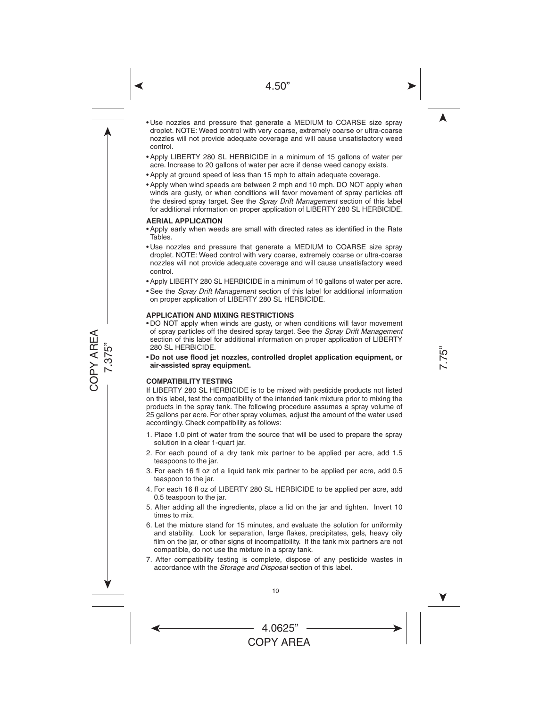- Use nozzles and pressure that generate a MEDIUM to COARSE size spray droplet. NOTE: Weed control with very coarse, extremely coarse or ultra-coarse nozzles will not provide adequate coverage and will cause unsatisfactory weed control.
- • Apply LIBERTY 280 SL HERBICIDE in a minimum of 15 gallons of water per acre. Increase to 20 gallons of water per acre if dense weed canopy exists.
- Apply at ground speed of less than 15 mph to attain adequate coverage.
- Apply when wind speeds are between 2 mph and 10 mph. DO NOT apply when winds are gusty, or when conditions will favor movement of spray particles off the desired spray target. See the *Spray Drift Management* section of this label for additional information on proper application of LIBERTY 280 SL HERBICIDE.

#### **AERIAL APPLICATION**

- • Apply early when weeds are small with directed rates as identified in the Rate Tables.
- Use nozzles and pressure that generate a MEDIUM to COARSE size spray droplet. NOTE: Weed control with very coarse, extremely coarse or ultra-coarse nozzles will not provide adequate coverage and will cause unsatisfactory weed control.
- Apply LIBERTY 280 SL HERBICIDE in a minimum of 10 gallons of water per acre.
- • See the *Spray Drift Management* section of this label for additional information on proper application of LIBERTY 280 SL HERBICIDE.

#### **APPLICATION AND MIXING RESTRICTIONS**

- • DO NOT apply when winds are gusty, or when conditions will favor movement of spray particles off the desired spray target. See the *Spray Drift Management* section of this label for additional information on proper application of LIBERTY 280 SL HERBICIDE.
- • **Do not use flood jet nozzles, controlled droplet application equipment, or air-assisted spray equipment.**

#### **COMPATIBILITY TESTING**

If LIBERTY 280 SL HERBICIDE is to be mixed with pesticide products not listed on this label, test the compatibility of the intended tank mixture prior to mixing the products in the spray tank. The following procedure assumes a spray volume of 25 gallons per acre. For other spray volumes, adjust the amount of the water used accordingly. Check compatibility as follows:

- 1. Place 1.0 pint of water from the source that will be used to prepare the spray solution in a clear 1-quart jar.
- 2. For each pound of a dry tank mix partner to be applied per acre, add 1.5 teaspoons to the jar.
- 3. For each 16 fl oz of a liquid tank mix partner to be applied per acre, add 0.5 teaspoon to the jar.
- 4. For each 16 fl oz of LIBERTY 280 SL HERBICIDE to be applied per acre, add 0.5 teaspoon to the jar.
- 5. After adding all the ingredients, place a lid on the jar and tighten. Invert 10 times to mix.
- 6. Let the mixture stand for 15 minutes, and evaluate the solution for uniformity and stability. Look for separation, large flakes, precipitates, gels, heavy oily film on the jar, or other signs of incompatibility. If the tank mix partners are not compatible, do not use the mixture in a spray tank.
- 7. After compatibility testing is complete, dispose of any pesticide wastes in accordance with the *Storage and Disposal* section of this label.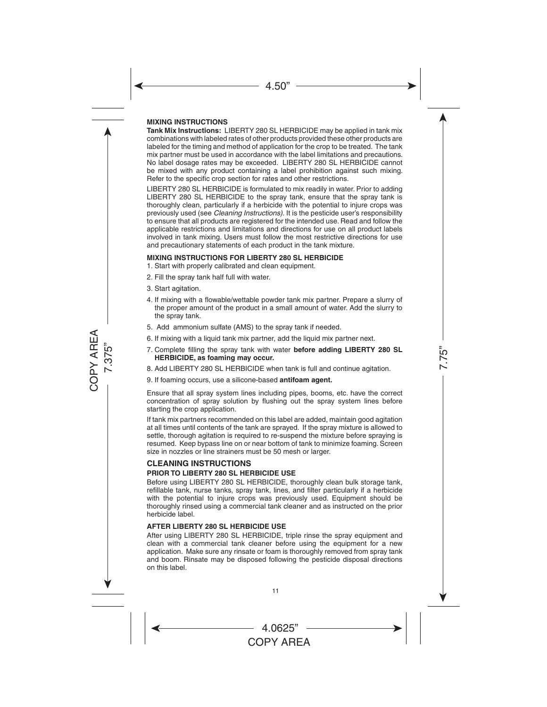#### **MIXING INSTRUCTIONS**

**Tank Mix Instructions:** LIBERTY 280 SL HERBICIDE may be applied in tank mix combinations with labeled rates of other products provided these other products are labeled for the timing and method of application for the crop to be treated. The tank mix partner must be used in accordance with the label limitations and precautions. No label dosage rates may be exceeded. LIBERTY 280 SL HERBICIDE cannot be mixed with any product containing a label prohibition against such mixing. Refer to the specific crop section for rates and other restrictions.

LIBERTY 280 SL HERBICIDE is formulated to mix readily in water. Prior to adding LIBERTY 280 SL HERBICIDE to the spray tank, ensure that the spray tank is thoroughly clean, particularly if a herbicide with the potential to injure crops was previously used (see *Cleaning Instructions).* It is the pesticide user's responsibility to ensure that all products are registered for the intended use. Read and follow the applicable restrictions and limitations and directions for use on all product labels involved in tank mixing. Users must follow the most restrictive directions for use and precautionary statements of each product in the tank mixture.

#### **MIXING INSTRUCTIONS FOR LIBERTY 280 SL HERBICIDE**

- 1. Start with properly calibrated and clean equipment.
- 2. Fill the spray tank half full with water.
- 3. Start agitation.
- 4. If mixing with a flowable/wettable powder tank mix partner. Prepare a slurry of the proper amount of the product in a small amount of water. Add the slurry to the spray tank.
- 5. Add ammonium sulfate (AMS) to the spray tank if needed.
- 6. If mixing with a liquid tank mix partner, add the liquid mix partner next.
- 7. Complete filling the spray tank with water **before adding LIBERTY 280 SL HERBICIDE, as foaming may occur.**
- 8. Add LIBERTY 280 SL HERBICIDE when tank is full and continue agitation.
- 9. If foaming occurs, use a silicone-based **antifoam agent.**

Ensure that all spray system lines including pipes, booms, etc. have the correct concentration of spray solution by flushing out the spray system lines before starting the crop application.

If tank mix partners recommended on this label are added, maintain good agitation at all times until contents of the tank are sprayed. If the spray mixture is allowed to settle, thorough agitation is required to re-suspend the mixture before spraying is resumed. Keep bypass line on or near bottom of tank to minimize foaming. Screen size in nozzles or line strainers must be 50 mesh or larger.

#### **CLEANING INSTRUCTIONS PRIOR TO LIBERTY 280 SL HERBICIDE USE**

Before using LIBERTY 280 SL HERBICIDE, thoroughly clean bulk storage tank, refillable tank, nurse tanks, spray tank, lines, and filter particularly if a herbicide with the potential to injure crops was previously used. Equipment should be thoroughly rinsed using a commercial tank cleaner and as instructed on the prior herbicide label.

#### **AFTER LIBERTY 280 SL HERBICIDE USE**

After using LIBERTY 280 SL HERBICIDE, triple rinse the spray equipment and clean with a commercial tank cleaner before using the equipment for a new application. Make sure any rinsate or foam is thoroughly removed from spray tank and boom. Rinsate may be disposed following the pesticide disposal directions on this label.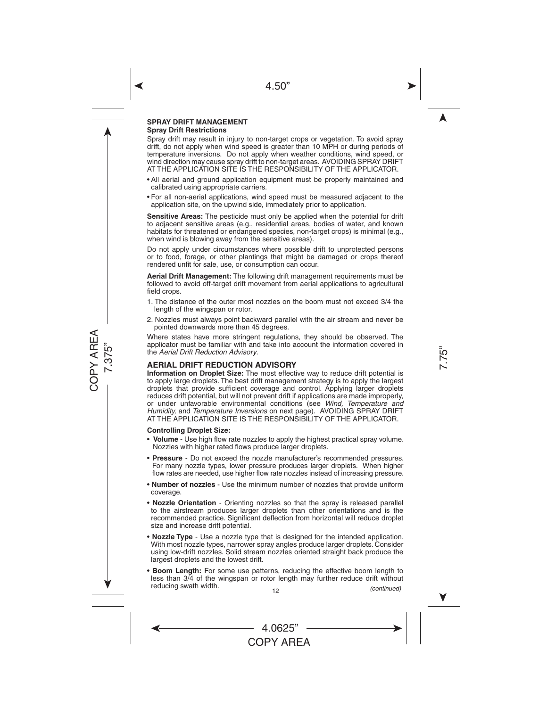#### **SPRAY DRIFT MANAGEMENT Spray Drift Restrictions**

Spray drift may result in injury to non-target crops or vegetation. To avoid spray drift, do not apply when wind speed is greater than 10 MPH or during periods of temperature inversions. Do not apply when weather conditions, wind speed, or wind direction may cause spray drift to non-target areas. AVOIDING SPRAY DRIFT AT THE APPLICATION SITE IS THE RESPONSIBILITY OF THE APPLICATOR.

- • All aerial and ground application equipment must be properly maintained and calibrated using appropriate carriers.
- • For all non-aerial applications, wind speed must be measured adjacent to the application site, on the upwind side, immediately prior to application.

**Sensitive Areas:** The pesticide must only be applied when the potential for drift to adjacent sensitive areas (e.g., residential areas, bodies of water, and known habitats for threatened or endangered species, non-target crops) is minimal (e.g., when wind is blowing away from the sensitive areas).

Do not apply under circumstances where possible drift to unprotected persons or to food, forage, or other plantings that might be damaged or crops thereof rendered unfit for sale, use, or consumption can occur.

**Aerial Drift Management:** The following drift management requirements must be followed to avoid off-target drift movement from aerial applications to agricultural field crops.

- 1. The distance of the outer most nozzles on the boom must not exceed 3/4 the length of the wingspan or rotor.
- 2. Nozzles must always point backward parallel with the air stream and never be pointed downwards more than 45 degrees.

Where states have more stringent regulations, they should be observed. The applicator must be familiar with and take into account the information covered in the *Aerial Drift Reduction Advisory*.

#### **AERIAL DRIFT REDUCTION ADVISORY**

**Information on Droplet Size:** The most effective way to reduce drift potential is to apply large droplets. The best drift management strategy is to apply the largest droplets that provide sufficient coverage and control. Applying larger droplets reduces drift potential, but will not prevent drift if applications are made improperly, or under unfavorable environmental conditions (see *Wind, Temperature and Humidity,* and *Temperature Inversions* on next page). AVOIDING SPRAY DRIFT AT THE APPLICATION SITE IS THE RESPONSIBILITY OF THE APPLICATOR.

#### **Controlling Droplet Size:**

- **Volume** Use high flow rate nozzles to apply the highest practical spray volume. Nozzles with higher rated flows produce larger droplets.
- **Pressure** Do not exceed the nozzle manufacturer's recommended pressures. For many nozzle types, lower pressure produces larger droplets. When higher flow rates are needed, use higher flow rate nozzles instead of increasing pressure.
- **Number of nozzles** Use the minimum number of nozzles that provide uniform coverage.
- **Nozzle Orientation** Orienting nozzles so that the spray is released parallel to the airstream produces larger droplets than other orientations and is the recommended practice. Significant deflection from horizontal will reduce droplet size and increase drift potential.
- **Nozzle Type** Use a nozzle type that is designed for the intended application. With most nozzle types, narrower spray angles produce larger droplets. Consider using low-drift nozzles. Solid stream nozzles oriented straight back produce the largest droplets and the lowest drift.
- **Boom Length:** For some use patterns, reducing the effective boom length to less than 3/4 of the wingspan or rotor length may further reduce drift without reducing swath width. *(continued)*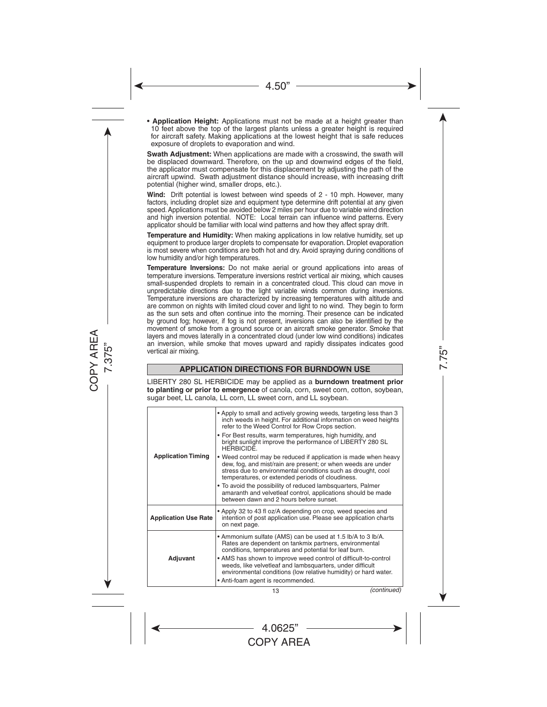• **Application Height:** Applications must not be made at a height greater than 10 feet above the top of the largest plants unless a greater height is required for aircraft safety. Making applications at the lowest height that is safe reduces exposure of droplets to evaporation and wind.

**Swath Adjustment:** When applications are made with a crosswind, the swath will be displaced downward. Therefore, on the up and downwind edges of the field, the applicator must compensate for this displacement by adjusting the path of the aircraft upwind. Swath adjustment distance should increase, with increasing drift potential (higher wind, smaller drops, etc.).

**Wind:** Drift potential is lowest between wind speeds of 2 - 10 mph. However, many factors, including droplet size and equipment type determine drift potential at any given speed. Applications must be avoided below 2 miles per hour due to variable wind direction and high inversion potential. NOTE: Local terrain can influence wind patterns. Every applicator should be familiar with local wind patterns and how they affect spray drift.

**Temperature and Humidity:** When making applications in low relative humidity, set up equipment to produce larger droplets to compensate for evaporation. Droplet evaporation is most severe when conditions are both hot and dry. Avoid spraying during conditions of low humidity and/or high temperatures.

**Temperature Inversions:** Do not make aerial or ground applications into areas of temperature inversions. Temperature inversions restrict vertical air mixing, which causes small-suspended droplets to remain in a concentrated cloud. This cloud can move in unpredictable directions due to the light variable winds common during inversions. Temperature inversions are characterized by increasing temperatures with altitude and are common on nights with limited cloud cover and light to no wind. They begin to form as the sun sets and often continue into the morning. Their presence can be indicated by ground fog; however, if fog is not present, inversions can also be identified by the movement of smoke from a ground source or an aircraft smoke generator. Smoke that layers and moves laterally in a concentrated cloud (under low wind conditions) indicates an inversion, while smoke that moves upward and rapidly dissipates indicates good vertical air mixing.

## **APPLICATION DIRECTIONS FOR BURNDOWN USE**

LIBERTY 280 SL HERBICIDE may be applied as a **burndown treatment prior to planting or prior to emergence** of canola, corn, sweet corn, cotton, soybean, sugar beet, LL canola, LL corn, LL sweet corn, and LL soybean.

| <b>Application Timing</b>   | • Apply to small and actively growing weeds, targeting less than 3<br>inch weeds in height. For additional information on weed heights<br>refer to the Weed Control for Row Crops section.<br>• For Best results, warm temperatures, high humidity, and<br>bright sunlight improve the performance of LIBERTY 280 SL<br><b>HERBICIDE</b>                                                                                      |
|-----------------------------|-------------------------------------------------------------------------------------------------------------------------------------------------------------------------------------------------------------------------------------------------------------------------------------------------------------------------------------------------------------------------------------------------------------------------------|
|                             | • Weed control may be reduced if application is made when heavy<br>dew, fog, and mist/rain are present; or when weeds are under<br>stress due to environmental conditions such as drought, cool<br>temperatures, or extended periods of cloudiness.<br>• To avoid the possibility of reduced lambsquarters, Palmer<br>amaranth and velvetleaf control, applications should be made<br>between dawn and 2 hours before sunset. |
| <b>Application Use Rate</b> | • Apply 32 to 43 fl oz/A depending on crop, weed species and<br>intention of post application use. Please see application charts<br>on next page.                                                                                                                                                                                                                                                                             |
| Adjuvant                    | • Ammonium sulfate (AMS) can be used at 1.5 lb/A to 3 lb/A.<br>Rates are dependent on tankmix partners, environmental<br>conditions, temperatures and potential for leaf burn.<br>• AMS has shown to improve weed control of difficult-to-control<br>weeds, like velvetleaf and lambsquarters, under difficult<br>environmental conditions (low relative humidity) or hard water.<br>• Anti-foam agent is recommended.        |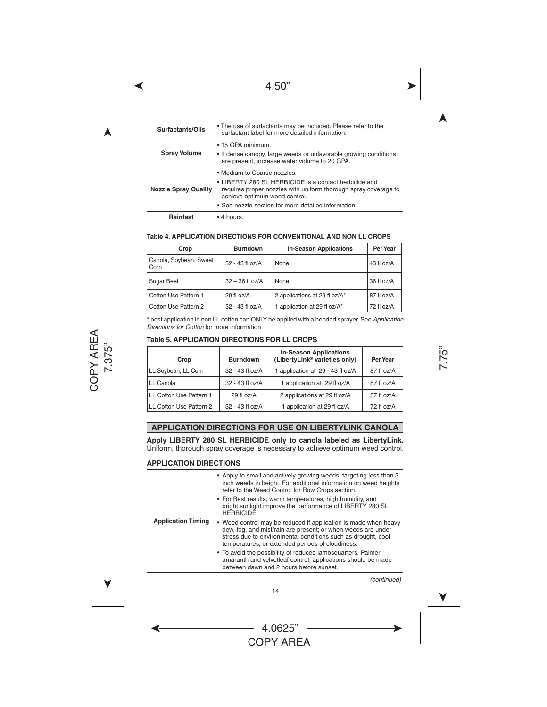| Surfactants/Oils            | • The use of surfactants may be included. Please refer to the<br>surfactant label for more detailed information.                                                                                                                                |
|-----------------------------|-------------------------------------------------------------------------------------------------------------------------------------------------------------------------------------------------------------------------------------------------|
| <b>Spray Volume</b>         | • 15 GPA minimum.<br>• If dense canopy, large weeds or unfavorable growing conditions<br>are present, increase water volume to 20 GPA.                                                                                                          |
| <b>Nozzle Spray Quality</b> | . Medium to Coarse nozzles.<br>• LIBERTY 280 SL HERBICIDE is a contact herbicide and<br>requires proper nozzles with uniform thorough spray coverage to<br>achieve optimum weed control.<br>• See nozzle section for more detailed information. |
| <b>Rainfast</b>             | $\bullet$ 4 hours.                                                                                                                                                                                                                              |

#### **Table 4. APPLICATION DIRECTIONS FOR CONVENTIONAL AND NON LL CROPS**

| Crop                           | <b>Burndown</b>   | <b>In-Season Applications</b> | Per Year   |
|--------------------------------|-------------------|-------------------------------|------------|
| Canola, Soybean, Sweet<br>Corn | 32 - 43 fl oz/A   | None                          | 43 fl oz/A |
| Sugar Beet                     | $32 - 36$ fl oz/A | None                          | 36 fl oz/A |
| Cotton Use Pattern 1           | 29 fl oz/A        | 2 applications at 29 fl oz/A* | 87 fl oz/A |
| Cotton Use Pattern 2           | 32 - 43 fl oz/A   | 1 application at 29 fl oz/A*  | 72 fl oz/A |

\* post application in non LL cotton can ONLY be applied with a hooded sprayer. See *Application Directions for Cotton* for more information

#### **Table 5. APPLICATION DIRECTIONS FOR LL CROPS**

| Crop                    | <b>Burndown</b> | <b>In-Season Applications</b><br>(LibertyLink <sup>®</sup> varieties only) | Per Year   |
|-------------------------|-----------------|----------------------------------------------------------------------------|------------|
| LL Soybean, LL Corn     | 32 - 43 fl oz/A | 1 application at 29 - 43 fl oz/A                                           | 87 fl oz/A |
| LL Canola               | 32 - 43 fl oz/A | 1 application at 29 fl oz/A                                                | 87 fl oz/A |
| LL Cotton Use Pattern 1 | 29 fl oz/A      | 2 applications at 29 fl oz/A                                               | 87 fl oz/A |
| LL Cotton Use Pattern 2 | 32 - 43 fl oz/A | 1 application at 29 fl oz/A                                                | 72 fl oz/A |

### **APPLICATION DIRECTIONS FOR USE ON LIBERTYLINK CANOLA**

**Apply LIBERTY 280 SL HERBICIDE only to canola labeled as LibertyLink.**  Uniform, thorough spray coverage is necessary to achieve optimum weed control.

#### **APPLICATION DIRECTIONS**

| <b>Application Timing</b> | • Apply to small and actively growing weeds, targeting less than 3<br>inch weeds in height. For additional information on weed heights<br>refer to the Weed Control for Row Crops section.                                                          |
|---------------------------|-----------------------------------------------------------------------------------------------------------------------------------------------------------------------------------------------------------------------------------------------------|
|                           | • For Best results, warm temperatures, high humidity, and<br>bright sunlight improve the performance of LIBERTY 280 SL<br><b>HERBICIDE.</b>                                                                                                         |
|                           | • Weed control may be reduced if application is made when heavy<br>dew, fog, and mist/rain are present; or when weeds are under<br>stress due to environmental conditions such as drought, cool<br>temperatures, or extended periods of cloudiness. |
|                           | • To avoid the possibility of reduced lambsquarters, Palmer<br>amaranth and velvetleaf control, applications should be made<br>between dawn and 2 hours before sunset.                                                                              |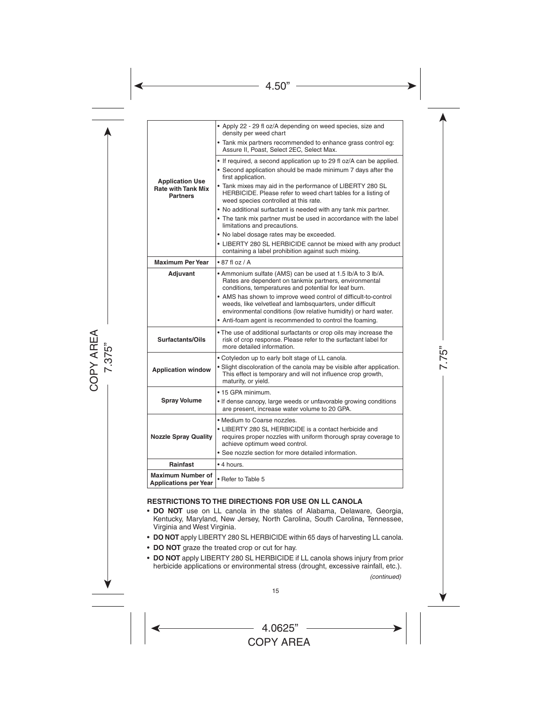| <b>Application Use</b><br><b>Rate with Tank Mix</b><br><b>Partners</b> | • Apply 22 - 29 fl oz/A depending on weed species, size and<br>density per weed chart                                                                                                           |  |  |  |
|------------------------------------------------------------------------|-------------------------------------------------------------------------------------------------------------------------------------------------------------------------------------------------|--|--|--|
|                                                                        | • Tank mix partners recommended to enhance grass control eg:<br>Assure II, Poast, Select 2EC, Select Max.                                                                                       |  |  |  |
|                                                                        | • If required, a second application up to 29 fl oz/A can be applied.                                                                                                                            |  |  |  |
|                                                                        | • Second application should be made minimum 7 days after the<br>first application.                                                                                                              |  |  |  |
|                                                                        | • Tank mixes may aid in the performance of LIBERTY 280 SL<br>HERBICIDE. Please refer to weed chart tables for a listing of<br>weed species controlled at this rate.                             |  |  |  |
|                                                                        | • No additional surfactant is needed with any tank mix partner.                                                                                                                                 |  |  |  |
|                                                                        | • The tank mix partner must be used in accordance with the label<br>limitations and precautions.                                                                                                |  |  |  |
|                                                                        | • No label dosage rates may be exceeded.                                                                                                                                                        |  |  |  |
|                                                                        | • LIBERTY 280 SL HERBICIDE cannot be mixed with any product<br>containing a label prohibition against such mixing.                                                                              |  |  |  |
| <b>Maximum Per Year</b>                                                | $\cdot$ 87 fl oz / A                                                                                                                                                                            |  |  |  |
| Adjuvant                                                               | • Ammonium sulfate (AMS) can be used at 1.5 lb/A to 3 lb/A.<br>Rates are dependent on tankmix partners, environmental<br>conditions, temperatures and potential for leaf burn.                  |  |  |  |
|                                                                        | • AMS has shown to improve weed control of difficult-to-control<br>weeds, like velvetleaf and lambsquarters, under difficult<br>environmental conditions (low relative humidity) or hard water. |  |  |  |
|                                                                        | • Anti-foam agent is recommended to control the foaming.                                                                                                                                        |  |  |  |
| Surfactants/Oils                                                       | • The use of additional surfactants or crop oils may increase the<br>risk of crop response. Please refer to the surfactant label for<br>more detailed information.                              |  |  |  |
|                                                                        | • Cotyledon up to early bolt stage of LL canola.                                                                                                                                                |  |  |  |
| <b>Application window</b>                                              | • Slight discoloration of the canola may be visible after application.<br>This effect is temporary and will not influence crop growth,<br>maturity, or yield.                                   |  |  |  |
|                                                                        | • 15 GPA minimum.                                                                                                                                                                               |  |  |  |
| <b>Spray Volume</b>                                                    | • If dense canopy, large weeds or unfavorable growing conditions<br>are present, increase water volume to 20 GPA.                                                                               |  |  |  |
|                                                                        | • Medium to Coarse nozzles.                                                                                                                                                                     |  |  |  |
| <b>Nozzle Spray Quality</b>                                            | • LIBERTY 280 SL HERBICIDE is a contact herbicide and<br>requires proper nozzles with uniform thorough spray coverage to<br>achieve optimum weed control.                                       |  |  |  |
|                                                                        | • See nozzle section for more detailed information.                                                                                                                                             |  |  |  |
| <b>Rainfast</b>                                                        | • 4 hours.                                                                                                                                                                                      |  |  |  |
| <b>Maximum Number of</b><br><b>Applications per Year</b>               | • Refer to Table 5                                                                                                                                                                              |  |  |  |

#### **RESTRICTIONS TO THE DIRECTIONS FOR USE ON LL CANOLA**

- • **DO NOT** use on LL canola in the states of Alabama, Delaware, Georgia, Kentucky, Maryland, New Jersey, North Carolina, South Carolina, Tennessee, Virginia and West Virginia.
- **DO NOT** apply LIBERTY 280 SL HERBICIDE within 65 days of harvesting LL canola.
- **DO NOT** graze the treated crop or cut for hay.
- **DO NOT** apply LIBERTY 280 SL HERBICIDE if LL canola shows injury from prior herbicide applications or environmental stress (drought, excessive rainfall, etc.).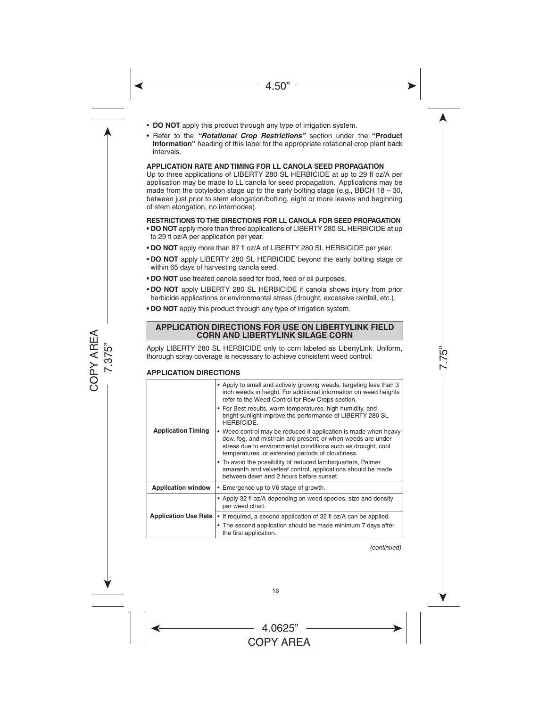- **DO NOT** apply this product through any type of irrigation system.
- Refer to the *"Rotational Crop Restrictions"* section under the **"Product Information"** heading of this label for the appropriate rotational crop plant back intervals.

#### **APPLICATION RATE AND TIMING FOR LL CANOLA SEED PROPAGATION**

Up to three applications of LIBERTY 280 SL HERBICIDE at up to 29 fl oz/A per application may be made to LL canola for seed propagation. Applications may be made from the cotyledon stage up to the early bolting stage (e.g., BBCH  $18 - 30$ , between just prior to stem elongation/bolting, eight or more leaves and beginning of stem elongation, no internodes).

#### **RESTRICTIONS TO THE DIRECTIONS FOR LL CANOLA FOR SEED PROPAGATION**

- **• DO NOT** apply more than three applications of LIBERTY 280 SL HERBICIDE at up to 29 fl oz/A per application per year.
- **• DO NOT** apply more than 87 fl oz/A of LIBERTY 280 SL HERBICIDE per year.
- **DO NOT** apply LIBERTY 280 SL HERBICIDE beyond the early bolting stage or within 65 days of harvesting canola seed.
- **DO NOT** use treated canola seed for food, feed or oil purposes.
- **• DO NOT** apply LIBERTY 280 SL HERBICIDE if canola shows injury from prior herbicide applications or environmental stress (drought, excessive rainfall, etc.).
- **DO NOT** apply this product through any type of irrigation system.

#### **APPLICATION DIRECTIONS FOR USE ON LIBERTYLINK FIELD CORN AND LIBERTYLINK SILAGE CORN**

Apply LIBERTY 280 SL HERBICIDE only to corn labeled as LibertyLink. Uniform, thorough spray coverage is necessary to achieve consistent weed control.

#### **APPLICATION DIRECTIONS**

| <b>Application Timing</b>   | • Apply to small and actively growing weeds, targeting less than 3<br>inch weeds in height. For additional information on weed heights<br>refer to the Weed Control for Row Crops section.                                                          |  |  |
|-----------------------------|-----------------------------------------------------------------------------------------------------------------------------------------------------------------------------------------------------------------------------------------------------|--|--|
|                             | • For Best results, warm temperatures, high humidity, and<br>bright sunlight improve the performance of LIBERTY 280 SL<br><b>HFRBICIDE</b>                                                                                                          |  |  |
|                             | • Weed control may be reduced if application is made when heavy<br>dew, fog, and mist/rain are present; or when weeds are under<br>stress due to environmental conditions such as drought, cool<br>temperatures, or extended periods of cloudiness. |  |  |
|                             | • To avoid the possibility of reduced lambsquarters, Palmer<br>amaranth and velvetleaf control, applications should be made<br>between dawn and 2 hours before sunset.                                                                              |  |  |
| <b>Application window</b>   | • Emergence up to V6 stage of growth.                                                                                                                                                                                                               |  |  |
| <b>Application Use Rate</b> | • Apply 32 fl oz/A depending on weed species, size and density<br>per weed chart.                                                                                                                                                                   |  |  |
|                             | • If required, a second application of 32 fl oz/A can be applied.<br>• The second application should be made minimum 7 days after<br>the first application.                                                                                         |  |  |

*(continued)*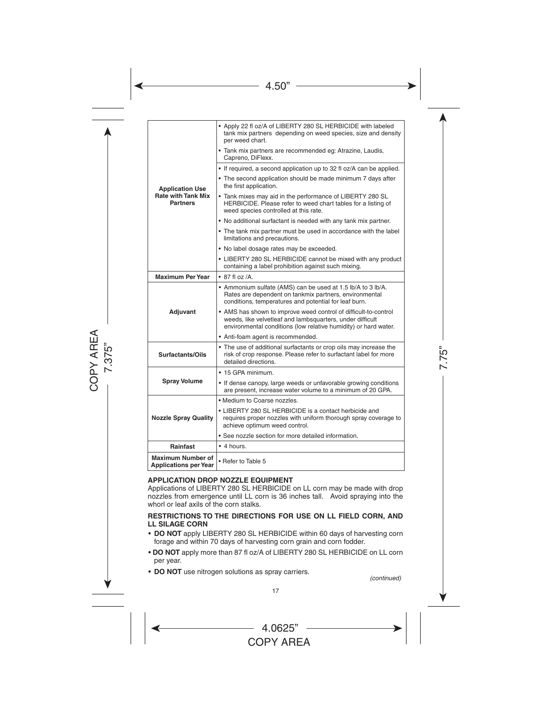| <b>Application Use</b><br><b>Rate with Tank Mix</b><br><b>Partners</b> | • Apply 22 fl oz/A of LIBERTY 280 SL HERBICIDE with labeled<br>tank mix partners depending on weed species, size and density<br>per weed chart.                                                 |  |  |
|------------------------------------------------------------------------|-------------------------------------------------------------------------------------------------------------------------------------------------------------------------------------------------|--|--|
|                                                                        | · Tank mix partners are recommended eg: Atrazine, Laudis,<br>Capreno, DiFlexx.                                                                                                                  |  |  |
|                                                                        | • If required, a second application up to 32 fl oz/A can be applied.                                                                                                                            |  |  |
|                                                                        | • The second application should be made minimum 7 days after<br>the first application.                                                                                                          |  |  |
|                                                                        | • Tank mixes may aid in the performance of LIBERTY 280 SL<br>HERBICIDE. Please refer to weed chart tables for a listing of<br>weed species controlled at this rate.                             |  |  |
|                                                                        | • No additional surfactant is needed with any tank mix partner.                                                                                                                                 |  |  |
|                                                                        | • The tank mix partner must be used in accordance with the label<br>limitations and precautions.                                                                                                |  |  |
|                                                                        | . No label dosage rates may be exceeded.                                                                                                                                                        |  |  |
|                                                                        | • LIBERTY 280 SL HERBICIDE cannot be mixed with any product<br>containing a label prohibition against such mixing.                                                                              |  |  |
| <b>Maximum Per Year</b>                                                | $\bullet$ 87 fl oz /A.                                                                                                                                                                          |  |  |
| Adjuvant                                                               | • Ammonium sulfate (AMS) can be used at 1.5 lb/A to 3 lb/A.<br>Rates are dependent on tankmix partners, environmental<br>conditions, temperatures and potential for leaf burn.                  |  |  |
|                                                                        | • AMS has shown to improve weed control of difficult-to-control<br>weeds, like velvetleaf and lambsquarters, under difficult<br>environmental conditions (low relative humidity) or hard water. |  |  |
|                                                                        | • Anti-foam agent is recommended.                                                                                                                                                               |  |  |
| Surfactants/Oils                                                       | • The use of additional surfactants or crop oils may increase the<br>risk of crop response. Please refer to surfactant label for more<br>detailed directions.                                   |  |  |
|                                                                        | • 15 GPA minimum.                                                                                                                                                                               |  |  |
| <b>Spray Volume</b>                                                    | • If dense canopy, large weeds or unfavorable growing conditions<br>are present, increase water volume to a minimum of 20 GPA.                                                                  |  |  |
|                                                                        | • Medium to Coarse nozzles.                                                                                                                                                                     |  |  |
| <b>Nozzle Spray Quality</b>                                            | • LIBERTY 280 SL HERBICIDE is a contact herbicide and<br>requires proper nozzles with uniform thorough spray coverage to<br>achieve optimum weed control.                                       |  |  |
|                                                                        | • See nozzle section for more detailed information.                                                                                                                                             |  |  |
| Rainfast                                                               | $\bullet$ 4 hours.                                                                                                                                                                              |  |  |
| <b>Maximum Number of</b><br><b>Applications per Year</b>               | • Refer to Table 5                                                                                                                                                                              |  |  |

#### **APPLICATION DROP NOZZLE EQUIPMENT**

Applications of LIBERTY 280 SL HERBICIDE on LL corn may be made with drop nozzles from emergence until LL corn is 36 inches tall. Avoid spraying into the whorl or leaf axils of the corn stalks.

#### **RESTRICTIONS TO THE DIRECTIONS FOR USE ON LL FIELD CORN, AND LL SILAGE CORN**

- **DO NOT** apply LIBERTY 280 SL HERBICIDE within 60 days of harvesting corn forage and within 70 days of harvesting corn grain and corn fodder.
- **DO NOT** apply more than 87 fl oz/A of LIBERTY 280 SL HERBICIDE on LL corn per year.
- **DO NOT** use nitrogen solutions as spray carriers.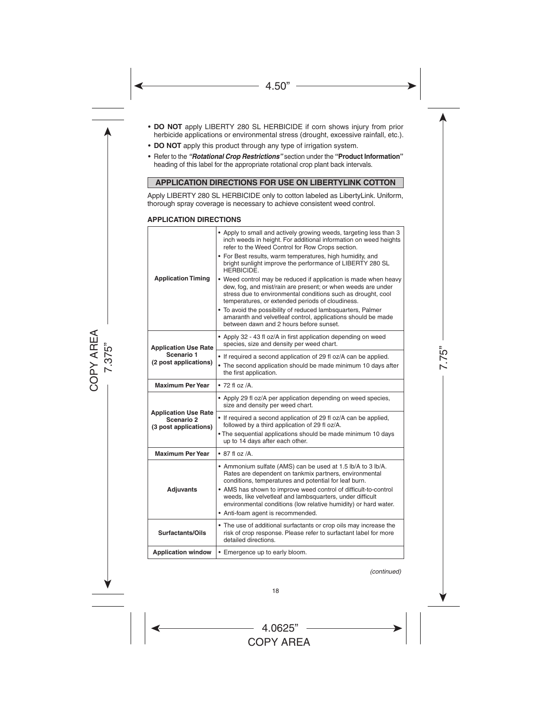- **DO NOT** apply LIBERTY 280 SL HERBICIDE if corn shows injury from prior herbicide applications or environmental stress (drought, excessive rainfall, etc.).
- **DO NOT** apply this product through any type of irrigation system.
- • Refer to the *"Rotational Crop Restrictions"* section under the **"Product Information"** heading of this label for the appropriate rotational crop plant back intervals.

#### **APPLICATION DIRECTIONS FOR USE ON LIBERTYLINK COTTON**

Apply LIBERTY 280 SL HERBICIDE only to cotton labeled as LibertyLink. Uniform, thorough spray coverage is necessary to achieve consistent weed control.

#### **APPLICATION DIRECTIONS**

| <b>Application Timing</b>                                          | • Apply to small and actively growing weeds, targeting less than 3<br>inch weeds in height. For additional information on weed heights<br>refer to the Weed Control for Row Crops section.<br>• For Best results, warm temperatures, high humidity, and<br>bright sunlight improve the performance of LIBERTY 280 SL<br><b>HERBICIDE.</b><br>• Weed control may be reduced if application is made when heavy<br>dew, fog, and mist/rain are present; or when weeds are under<br>stress due to environmental conditions such as drought, cool<br>temperatures, or extended periods of cloudiness.<br>• To avoid the possibility of reduced lambsquarters, Palmer<br>amaranth and velvetleaf control, applications should be made<br>between dawn and 2 hours before sunset. |  |  |  |
|--------------------------------------------------------------------|----------------------------------------------------------------------------------------------------------------------------------------------------------------------------------------------------------------------------------------------------------------------------------------------------------------------------------------------------------------------------------------------------------------------------------------------------------------------------------------------------------------------------------------------------------------------------------------------------------------------------------------------------------------------------------------------------------------------------------------------------------------------------|--|--|--|
| <b>Application Use Rate</b>                                        | • Apply 32 - 43 fl oz/A in first application depending on weed<br>species, size and density per weed chart.                                                                                                                                                                                                                                                                                                                                                                                                                                                                                                                                                                                                                                                                |  |  |  |
| Scenario 1<br>(2 post applications)                                | • If required a second application of 29 fl oz/A can be applied.<br>• The second application should be made minimum 10 days after<br>the first application.                                                                                                                                                                                                                                                                                                                                                                                                                                                                                                                                                                                                                |  |  |  |
| <b>Maximum Per Year</b>                                            | $\bullet$ 72 fl oz /A.                                                                                                                                                                                                                                                                                                                                                                                                                                                                                                                                                                                                                                                                                                                                                     |  |  |  |
|                                                                    | • Apply 29 fl oz/A per application depending on weed species,<br>size and density per weed chart.                                                                                                                                                                                                                                                                                                                                                                                                                                                                                                                                                                                                                                                                          |  |  |  |
| <b>Application Use Rate</b><br>Scenario 2<br>(3 post applications) |                                                                                                                                                                                                                                                                                                                                                                                                                                                                                                                                                                                                                                                                                                                                                                            |  |  |  |
|                                                                    | • If required a second application of 29 fl oz/A can be applied,<br>followed by a third application of 29 fl oz/A.                                                                                                                                                                                                                                                                                                                                                                                                                                                                                                                                                                                                                                                         |  |  |  |
|                                                                    | . The sequential applications should be made minimum 10 days<br>up to 14 days after each other.                                                                                                                                                                                                                                                                                                                                                                                                                                                                                                                                                                                                                                                                            |  |  |  |
| <b>Maximum Per Year</b>                                            | $\bullet$ 87 fl oz /A.                                                                                                                                                                                                                                                                                                                                                                                                                                                                                                                                                                                                                                                                                                                                                     |  |  |  |
|                                                                    | • Ammonium sulfate (AMS) can be used at 1.5 lb/A to 3 lb/A.<br>Rates are dependent on tankmix partners, environmental<br>conditions, temperatures and potential for leaf burn.                                                                                                                                                                                                                                                                                                                                                                                                                                                                                                                                                                                             |  |  |  |
| <b>Adjuvants</b>                                                   | • AMS has shown to improve weed control of difficult-to-control<br>weeds, like velvetleaf and lambsquarters, under difficult<br>environmental conditions (low relative humidity) or hard water.<br>• Anti-foam agent is recommended.                                                                                                                                                                                                                                                                                                                                                                                                                                                                                                                                       |  |  |  |
| Surfactants/Oils                                                   | • The use of additional surfactants or crop oils may increase the<br>risk of crop response. Please refer to surfactant label for more<br>detailed directions.                                                                                                                                                                                                                                                                                                                                                                                                                                                                                                                                                                                                              |  |  |  |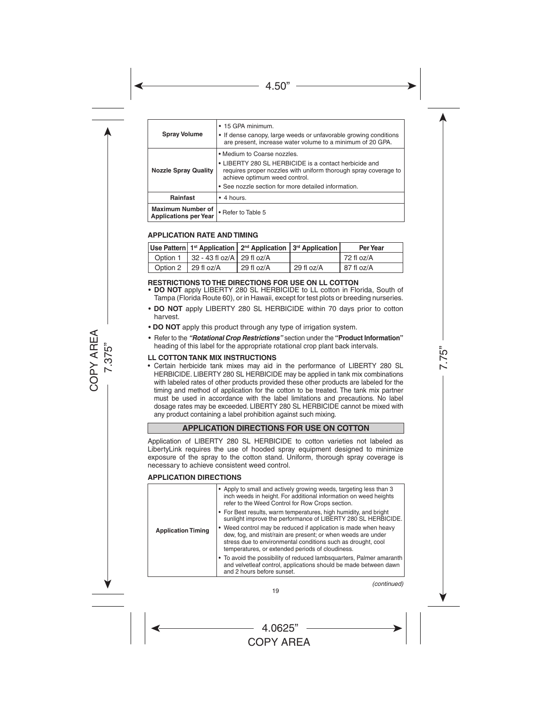| <b>Spray Volume</b>                                      | • 15 GPA minimum.<br>• If dense canopy, large weeds or unfavorable growing conditions<br>are present, increase water volume to a minimum of 20 GPA.                                                                                             |  |  |  |
|----------------------------------------------------------|-------------------------------------------------------------------------------------------------------------------------------------------------------------------------------------------------------------------------------------------------|--|--|--|
| <b>Nozzle Spray Quality</b>                              | • Medium to Coarse nozzles.<br>• LIBERTY 280 SL HERBICIDE is a contact herbicide and<br>requires proper nozzles with uniform thorough spray coverage to<br>achieve optimum weed control.<br>• See nozzle section for more detailed information. |  |  |  |
| Rainfast                                                 | $\bullet$ 4 hours.                                                                                                                                                                                                                              |  |  |  |
| <b>Maximum Number of</b><br><b>Applications per Year</b> | • Refer to Table 5                                                                                                                                                                                                                              |  |  |  |

#### **APPLICATION RATE AND TIMING**

|                                         | Use Pattern   1 <sup>st</sup> Application   2 <sup>nd</sup> Application   3 <sup>rd</sup> Application |                        | <b>Per Year</b> |
|-----------------------------------------|-------------------------------------------------------------------------------------------------------|------------------------|-----------------|
| Option 1   32 - 43 fl oz/A   29 fl oz/A |                                                                                                       |                        | 72 fl oz/A      |
| Option 2   29 fl oz/A                   | 29 fl oz/A                                                                                            | $\frac{1}{29}$ fl oz/A | 87 fl oz/A      |

#### **RESTRICTIONS TO THE DIRECTIONS FOR USE ON LL COTTON**

- **DO NOT** apply LIBERTY 280 SL HERBICIDE to LL cotton in Florida, South of Tampa (Florida Route 60), or in Hawaii, except for test plots or breeding nurseries.
- **DO NOT** apply LIBERTY 280 SL HERBICIDE within 70 days prior to cotton harvest.
- **DO NOT** apply this product through any type of irrigation system.
- • Refer to the *"Rotational Crop Restrictions"* section under the **"Product Information"** heading of this label for the appropriate rotational crop plant back intervals.

#### **LL COTTON TANK MIX INSTRUCTIONS**

• Certain herbicide tank mixes may aid in the performance of LIBERTY 280 SL HERBICIDE. LIBERTY 280 SL HERBICIDE may be applied in tank mix combinations with labeled rates of other products provided these other products are labeled for the timing and method of application for the cotton to be treated. The tank mix partner must be used in accordance with the label limitations and precautions. No label dosage rates may be exceeded. LIBERTY 280 SL HERBICIDE cannot be mixed with any product containing a label prohibition against such mixing.

#### **APPLICATION DIRECTIONS FOR USE ON COTTON**

Application of LIBERTY 280 SL HERBICIDE to cotton varieties not labeled as LibertyLink requires the use of hooded spray equipment designed to minimize exposure of the spray to the cotton stand. Uniform, thorough spray coverage is necessary to achieve consistent weed control.

#### **APPLICATION DIRECTIONS**

| <b>Application Timing</b> | • Apply to small and actively growing weeds, targeting less than 3<br>inch weeds in height. For additional information on weed heights<br>refer to the Weed Control for Row Crops section.                                                          |
|---------------------------|-----------------------------------------------------------------------------------------------------------------------------------------------------------------------------------------------------------------------------------------------------|
|                           | • For Best results, warm temperatures, high humidity, and bright<br>sunlight improve the performance of LIBERTY 280 SL HERBICIDE.                                                                                                                   |
|                           | • Weed control may be reduced if application is made when heavy<br>dew, fog, and mist/rain are present; or when weeds are under<br>stress due to environmental conditions such as drought, cool<br>temperatures, or extended periods of cloudiness. |
|                           | • To avoid the possibility of reduced lambsquarters, Palmer amaranth<br>and velvetleaf control, applications should be made between dawn<br>and 2 hours before sunset.                                                                              |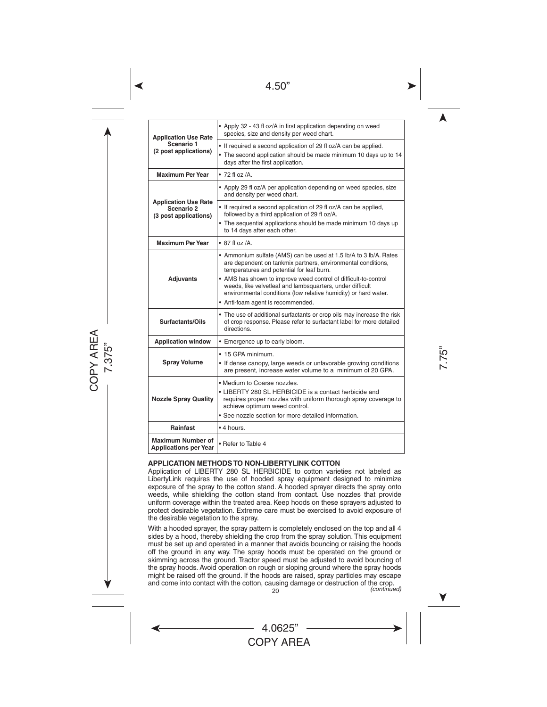| <b>Application Use Rate</b><br>Scenario 1<br>(2 post applications)                                                                                                                                                                                                             | • Apply 32 - 43 fl oz/A in first application depending on weed<br>species, size and density per weed chart.                                                                                                                          |  |  |
|--------------------------------------------------------------------------------------------------------------------------------------------------------------------------------------------------------------------------------------------------------------------------------|--------------------------------------------------------------------------------------------------------------------------------------------------------------------------------------------------------------------------------------|--|--|
|                                                                                                                                                                                                                                                                                | • If required a second application of 29 fl oz/A can be applied.<br>• The second application should be made minimum 10 days up to 14<br>days after the first application.                                                            |  |  |
| <b>Maximum Per Year</b>                                                                                                                                                                                                                                                        | $\bullet$ 72 fl oz /A.                                                                                                                                                                                                               |  |  |
|                                                                                                                                                                                                                                                                                | • Apply 29 fl oz/A per application depending on weed species, size<br>and density per weed chart.                                                                                                                                    |  |  |
| <b>Application Use Rate</b><br>Scenario 2<br>(3 post applications)                                                                                                                                                                                                             | • If required a second application of 29 fl oz/A can be applied,<br>followed by a third application of 29 fl oz/A.                                                                                                                   |  |  |
|                                                                                                                                                                                                                                                                                | • The sequential applications should be made minimum 10 days up<br>to 14 days after each other.                                                                                                                                      |  |  |
| <b>Maximum Per Year</b>                                                                                                                                                                                                                                                        | $\bullet$ 87 fl oz /A.                                                                                                                                                                                                               |  |  |
| <b>Adjuvants</b>                                                                                                                                                                                                                                                               | • Ammonium sulfate (AMS) can be used at 1.5 lb/A to 3 lb/A. Rates<br>are dependent on tankmix partners, environmental conditions,<br>temperatures and potential for leaf burn.                                                       |  |  |
|                                                                                                                                                                                                                                                                                | • AMS has shown to improve weed control of difficult-to-control<br>weeds, like velvetleaf and lambsquarters, under difficult<br>environmental conditions (low relative humidity) or hard water.<br>• Anti-foam agent is recommended. |  |  |
| Surfactants/Oils                                                                                                                                                                                                                                                               | • The use of additional surfactants or crop oils may increase the risk<br>of crop response. Please refer to surfactant label for more detailed<br>directions.                                                                        |  |  |
| <b>Application window</b>                                                                                                                                                                                                                                                      | • Emergence up to early bloom.                                                                                                                                                                                                       |  |  |
|                                                                                                                                                                                                                                                                                | • 15 GPA minimum.                                                                                                                                                                                                                    |  |  |
| <b>Spray Volume</b>                                                                                                                                                                                                                                                            | • If dense canopy, large weeds or unfavorable growing conditions<br>are present, increase water volume to a minimum of 20 GPA.                                                                                                       |  |  |
| • Medium to Coarse nozzles.<br>• LIBERTY 280 SL HERBICIDE is a contact herbicide and<br><b>Nozzle Spray Quality</b><br>requires proper nozzles with uniform thorough spray coverage to<br>achieve optimum weed control.<br>• See nozzle section for more detailed information. |                                                                                                                                                                                                                                      |  |  |
| Rainfast                                                                                                                                                                                                                                                                       | • 4 hours.                                                                                                                                                                                                                           |  |  |
| <b>Maximum Number of</b><br><b>Applications per Year</b>                                                                                                                                                                                                                       | • Refer to Table 4                                                                                                                                                                                                                   |  |  |

#### **APPLICATION METHODS TO NON-LIBERTYLINK COTTON**

Application of LIBERTY 280 SL HERBICIDE to cotton varieties not labeled as LibertyLink requires the use of hooded spray equipment designed to minimize exposure of the spray to the cotton stand. A hooded sprayer directs the spray onto weeds, while shielding the cotton stand from contact. Use nozzles that provide uniform coverage within the treated area. Keep hoods on these sprayers adjusted to protect desirable vegetation. Extreme care must be exercised to avoid exposure of the desirable vegetation to the spray.

With a hooded sprayer, the spray pattern is completely enclosed on the top and all 4 sides by a hood, thereby shielding the crop from the spray solution. This equipment must be set up and operated in a manner that avoids bouncing or raising the hoods off the ground in any way. The spray hoods must be operated on the ground or skimming across the ground. Tractor speed must be adjusted to avoid bouncing of the spray hoods. Avoid operation on rough or sloping ground where the spray hoods might be raised off the ground. If the hoods are raised, spray particles may escape and come into contact with the cotton, causing damage or destruction of the crop. *(continued)*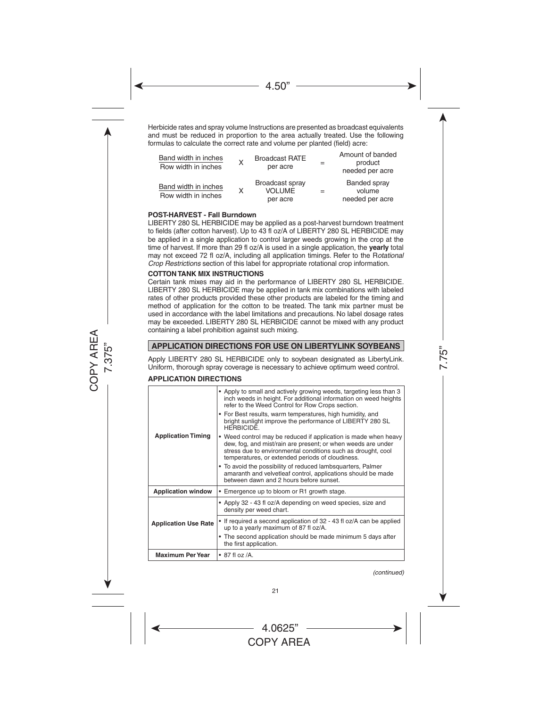Herbicide rates and spray volume Instructions are presented as broadcast equivalents and must be reduced in proportion to the area actually treated. Use the following formulas to calculate the correct rate and volume per planted (field) acre:

| Band width in inches<br>Row width in inches | X | <b>Broadcast RATE</b><br>per acre            | Amount of banded<br>product<br>needed per acre |
|---------------------------------------------|---|----------------------------------------------|------------------------------------------------|
| Band width in inches<br>Row width in inches | X | Broadcast spray<br><b>VOLUME</b><br>per acre | Banded spray<br>volume<br>needed per acre      |

#### **POST-HARVEST - Fall Burndown**

LIBERTY 280 SL HERBICIDE may be applied as a post-harvest burndown treatment to fields (after cotton harvest). Up to 43 fl oz/A of LIBERTY 280 SL HERBICIDE may be applied in a single application to control larger weeds growing in the crop at the time of harvest. If more than 29 fl oz/A is used in a single application, the **yearly** total may not exceed 72 fl oz/A, including all application timings. Refer to the R*otational Crop Restrictions* section of this label for appropriate rotational crop information.

#### **COTTON TANK MIX INSTRUCTIONS**

Certain tank mixes may aid in the performance of LIBERTY 280 SL HERBICIDE. LIBERTY 280 SL HERBICIDE may be applied in tank mix combinations with labeled rates of other products provided these other products are labeled for the timing and method of application for the cotton to be treated. The tank mix partner must be used in accordance with the label limitations and precautions. No label dosage rates may be exceeded. LIBERTY 280 SL HERBICIDE cannot be mixed with any product containing a label prohibition against such mixing.

#### **APPLICATION DIRECTIONS FOR USE ON LIBERTYLINK SOYBEANS**

Apply LIBERTY 280 SL HERBICIDE only to soybean designated as LibertyLink. Uniform, thorough spray coverage is necessary to achieve optimum weed control.

#### **APPLICATION DIRECTIONS**

| <b>Application Timing</b>   | • Apply to small and actively growing weeds, targeting less than 3<br>inch weeds in height. For additional information on weed heights<br>refer to the Weed Control for Row Crops section.                                                          |  |  |  |
|-----------------------------|-----------------------------------------------------------------------------------------------------------------------------------------------------------------------------------------------------------------------------------------------------|--|--|--|
|                             | • For Best results, warm temperatures, high humidity, and<br>bright sunlight improve the performance of LIBERTY 280 SL<br><b>HERBICIDE</b>                                                                                                          |  |  |  |
|                             | • Weed control may be reduced if application is made when heavy<br>dew, fog, and mist/rain are present; or when weeds are under<br>stress due to environmental conditions such as drought, cool<br>temperatures, or extended periods of cloudiness. |  |  |  |
|                             | • To avoid the possibility of reduced lambsquarters, Palmer<br>amaranth and velvetleaf control, applications should be made<br>between dawn and 2 hours before sunset.                                                                              |  |  |  |
| <b>Application window</b>   | • Emergence up to bloom or R1 growth stage.                                                                                                                                                                                                         |  |  |  |
| <b>Application Use Rate</b> | • Apply 32 - 43 fl oz/A depending on weed species, size and<br>density per weed chart.                                                                                                                                                              |  |  |  |
|                             | • If required a second application of 32 - 43 fl oz/A can be applied<br>up to a yearly maximum of 87 fl oz/A.                                                                                                                                       |  |  |  |
|                             | • The second application should be made minimum 5 days after<br>the first application.                                                                                                                                                              |  |  |  |
| <b>Maximum Per Year</b>     | $\bullet$ 87 fl oz /A.                                                                                                                                                                                                                              |  |  |  |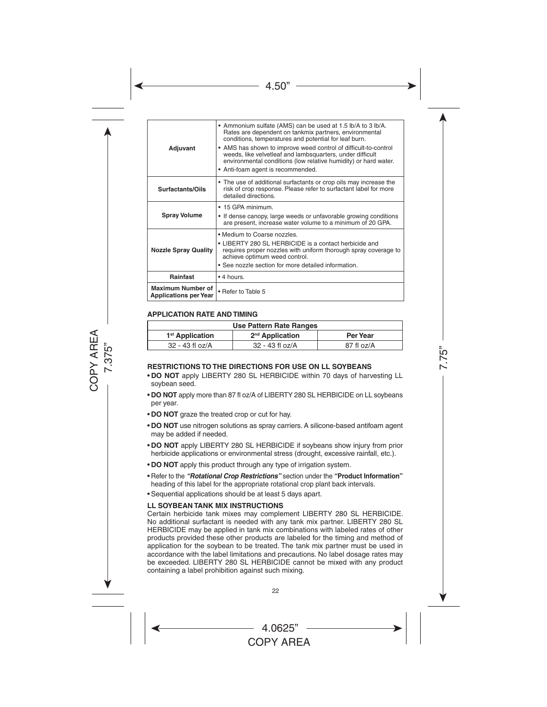| Adjuvant                                                 | • Ammonium sulfate (AMS) can be used at 1.5 lb/A to 3 lb/A.<br>Rates are dependent on tankmix partners, environmental<br>conditions, temperatures and potential for leaf burn.<br>• AMS has shown to improve weed control of difficult-to-control<br>weeds, like velvetleaf and lambsquarters, under difficult<br>environmental conditions (low relative humidity) or hard water.<br>• Anti-foam agent is recommended. |
|----------------------------------------------------------|------------------------------------------------------------------------------------------------------------------------------------------------------------------------------------------------------------------------------------------------------------------------------------------------------------------------------------------------------------------------------------------------------------------------|
| Surfactants/Oils                                         | • The use of additional surfactants or crop oils may increase the<br>risk of crop response. Please refer to surfactant label for more<br>detailed directions.                                                                                                                                                                                                                                                          |
| <b>Spray Volume</b>                                      | • 15 GPA minimum.<br>• If dense canopy, large weeds or unfavorable growing conditions<br>are present, increase water volume to a minimum of 20 GPA.                                                                                                                                                                                                                                                                    |
| <b>Nozzle Spray Quality</b>                              | • Medium to Coarse nozzles.<br>• LIBERTY 280 SL HERBICIDE is a contact herbicide and<br>requires proper nozzles with uniform thorough spray coverage to<br>achieve optimum weed control.<br>• See nozzle section for more detailed information.                                                                                                                                                                        |
| Rainfast                                                 | • 4 hours.                                                                                                                                                                                                                                                                                                                                                                                                             |
| <b>Maximum Number of</b><br><b>Applications per Year</b> | • Refer to Table 5                                                                                                                                                                                                                                                                                                                                                                                                     |

#### **APPLICATION RATE AND TIMING**

| Use Pattern Rate Ranges     |                             |            |  |  |
|-----------------------------|-----------------------------|------------|--|--|
| 1 <sup>st</sup> Application | 2 <sup>nd</sup> Application | Per Year   |  |  |
| $32 - 43$ fl oz/A           | $32 - 43$ fl oz/A           | 87 fl oz/A |  |  |

#### **RESTRICTIONS TO THE DIRECTIONS FOR USE ON LL SOYBEANS**

- • **DO NOT** apply LIBERTY 280 SL HERBICIDE within 70 days of harvesting LL soybean seed.
- **DO NOT** apply more than 87 fl oz/A of LIBERTY 280 SL HERBICIDE on LL soybeans per year.
- **DO NOT** graze the treated crop or cut for hay.
- • **DO NOT** use nitrogen solutions as spray carriers. A silicone-based antifoam agent may be added if needed.
- **DO NOT** apply LIBERTY 280 SL HERBICIDE if soybeans show injury from prior herbicide applications or environmental stress (drought, excessive rainfall, etc.).
- **DO NOT** apply this product through any type of irrigation system.
- • Refer to the *"Rotational Crop Restrictions"* section under the **"Product Information"** heading of this label for the appropriate rotational crop plant back intervals.
- Sequential applications should be at least 5 days apart.

#### **LL SOYBEAN TANK MIX INSTRUCTIONS**

Certain herbicide tank mixes may complement LIBERTY 280 SL HERBICIDE. No additional surfactant is needed with any tank mix partner. LIBERTY 280 SL HERBICIDE may be applied in tank mix combinations with labeled rates of other products provided these other products are labeled for the timing and method of application for the soybean to be treated. The tank mix partner must be used in accordance with the label limitations and precautions. No label dosage rates may be exceeded. LIBERTY 280 SL HERBICIDE cannot be mixed with any product containing a label prohibition against such mixing.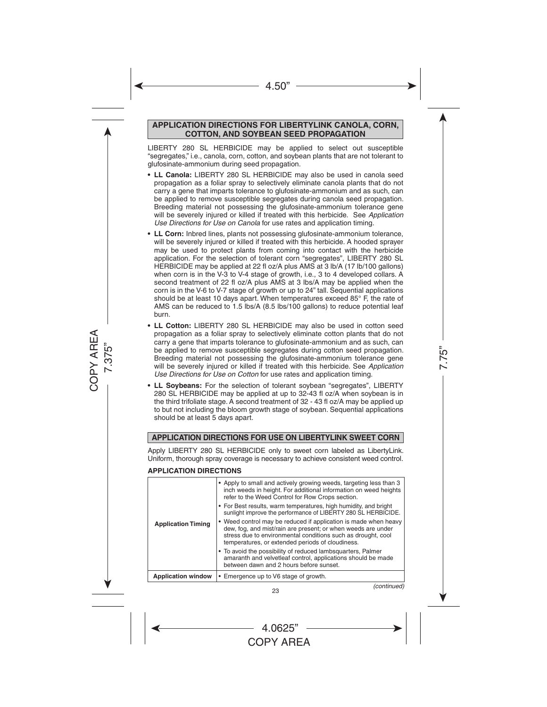#### **APPLICATION DIRECTIONS FOR LIBERTYLINK CANOLA, CORN, COTTON, AND SOYBEAN SEED PROPAGATION**

LIBERTY 280 SL HERBICIDE may be applied to select out susceptible "segregates," i.e., canola, corn, cotton, and soybean plants that are not tolerant to glufosinate-ammonium during seed propagation.

- **• LL Canola:** LIBERTY 280 SL HERBICIDE may also be used in canola seed propagation as a foliar spray to selectively eliminate canola plants that do not carry a gene that imparts tolerance to glufosinate-ammonium and as such, can be applied to remove susceptible segregates during canola seed propagation. Breeding material not possessing the glufosinate-ammonium tolerance gene will be severely injured or killed if treated with this herbicide. See *Application Use Directions for Use on Canola* for use rates and application timing.
- **• LL Corn:** Inbred lines, plants not possessing glufosinate-ammonium tolerance, will be severely injured or killed if treated with this herbicide. A hooded sprayer may be used to protect plants from coming into contact with the herbicide application. For the selection of tolerant corn "segregates", LIBERTY 280 SL HERBICIDE may be applied at 22 fl oz/A plus AMS at 3 lb/A (17 lb/100 gallons) when corn is in the V-3 to V-4 stage of growth, i.e., 3 to 4 developed collars. A second treatment of 22 fl oz/A plus AMS at 3 lbs/A may be applied when the corn is in the V-6 to V-7 stage of growth or up to 24" tall. Sequential applications should be at least 10 days apart. When temperatures exceed 85° F, the rate of AMS can be reduced to 1.5 lbs/A (8.5 lbs/100 gallons) to reduce potential leaf burn.
- **• LL Cotton:** LIBERTY 280 SL HERBICIDE may also be used in cotton seed propagation as a foliar spray to selectively eliminate cotton plants that do not carry a gene that imparts tolerance to glufosinate-ammonium and as such, can be applied to remove susceptible segregates during cotton seed propagation. Breeding material not possessing the glufosinate-ammonium tolerance gene will be severely injured or killed if treated with this herbicide. See *Application Use Directions for Use on Cotton* for use rates and application timing.
- **• LL Soybeans:** For the selection of tolerant soybean "segregates", LIBERTY 280 SL HERBICIDE may be applied at up to 32-43 fl oz/A when soybean is in the third trifoliate stage. A second treatment of 32 - 43 fl oz/A may be applied up to but not including the bloom growth stage of soybean. Sequential applications should be at least 5 days apart.

#### **APPLICATION DIRECTIONS FOR USE ON LIBERTYLINK SWEET CORN**

Apply LIBERTY 280 SL HERBICIDE only to sweet corn labeled as LibertyLink. Uniform, thorough spray coverage is necessary to achieve consistent weed control.

#### **APPLICATION DIRECTIONS**

| <b>Application Timing</b> | • Apply to small and actively growing weeds, targeting less than 3<br>inch weeds in height. For additional information on weed heights<br>refer to the Weed Control for Row Crops section.                                                          |
|---------------------------|-----------------------------------------------------------------------------------------------------------------------------------------------------------------------------------------------------------------------------------------------------|
|                           | • For Best results, warm temperatures, high humidity, and bright<br>sunlight improve the performance of LIBERTY 280 SL HERBICIDE.                                                                                                                   |
|                           | • Weed control may be reduced if application is made when heavy<br>dew, fog, and mist/rain are present; or when weeds are under<br>stress due to environmental conditions such as drought, cool<br>temperatures, or extended periods of cloudiness. |
|                           | • To avoid the possibility of reduced lambsquarters, Palmer<br>amaranth and velvetleaf control, applications should be made<br>between dawn and 2 hours before sunset.                                                                              |
| <b>Application window</b> | • Emergence up to V6 stage of growth.                                                                                                                                                                                                               |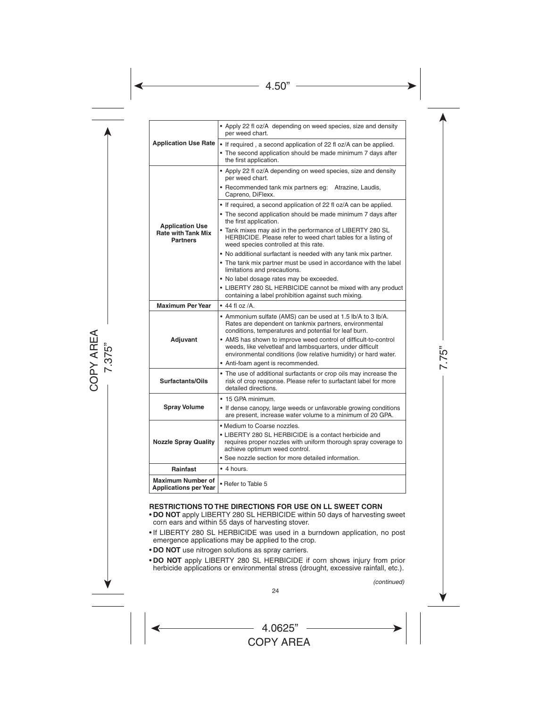| <b>Application Use Rate</b>                                            | • Apply 22 fl oz/A depending on weed species, size and density<br>per weed chart.                                                                                                               |
|------------------------------------------------------------------------|-------------------------------------------------------------------------------------------------------------------------------------------------------------------------------------------------|
|                                                                        | • If required, a second application of 22 fl oz/A can be applied.<br>• The second application should be made minimum 7 days after<br>the first application.                                     |
|                                                                        | • Apply 22 fl oz/A depending on weed species, size and density<br>per weed chart.<br>• Recommended tank mix partners eq: Atrazine, Laudis,                                                      |
|                                                                        | Capreno, DiFlexx.                                                                                                                                                                               |
|                                                                        | • If required, a second application of 22 fl oz/A can be applied.                                                                                                                               |
| <b>Application Use</b><br><b>Rate with Tank Mix</b><br><b>Partners</b> | • The second application should be made minimum 7 days after<br>the first application.                                                                                                          |
|                                                                        | • Tank mixes may aid in the performance of LIBERTY 280 SL<br>HERBICIDE. Please refer to weed chart tables for a listing of<br>weed species controlled at this rate.                             |
|                                                                        | • No additional surfactant is needed with any tank mix partner.                                                                                                                                 |
|                                                                        | • The tank mix partner must be used in accordance with the label<br>limitations and precautions.                                                                                                |
|                                                                        | . No label dosage rates may be exceeded.                                                                                                                                                        |
|                                                                        | • LIBERTY 280 SL HERBICIDE cannot be mixed with any product<br>containing a label prohibition against such mixing.                                                                              |
| <b>Maximum Per Year</b>                                                | $\bullet$ 44 fl oz /A.                                                                                                                                                                          |
| Adjuvant                                                               | • Ammonium sulfate (AMS) can be used at 1.5 lb/A to 3 lb/A.<br>Rates are dependent on tankmix partners, environmental<br>conditions, temperatures and potential for leaf burn.                  |
|                                                                        | • AMS has shown to improve weed control of difficult-to-control<br>weeds, like velvetleaf and lambsquarters, under difficult<br>environmental conditions (low relative humidity) or hard water. |
|                                                                        | • Anti-foam agent is recommended.                                                                                                                                                               |
| Surfactants/Oils                                                       | • The use of additional surfactants or crop oils may increase the<br>risk of crop response. Please refer to surfactant label for more<br>detailed directions.                                   |
|                                                                        | • 15 GPA minimum.                                                                                                                                                                               |
| <b>Spray Volume</b>                                                    | • If dense canopy, large weeds or unfavorable growing conditions<br>are present, increase water volume to a minimum of 20 GPA.                                                                  |
|                                                                        | • Medium to Coarse nozzles.                                                                                                                                                                     |
| <b>Nozzle Spray Quality</b>                                            | • LIBERTY 280 SL HERBICIDE is a contact herbicide and<br>requires proper nozzles with uniform thorough spray coverage to<br>achieve optimum weed control.                                       |
|                                                                        | • See nozzle section for more detailed information.                                                                                                                                             |
| <b>Rainfast</b>                                                        | $\bullet$ 4 hours                                                                                                                                                                               |
| <b>Maximum Number of</b><br><b>Applications per Year</b>               | • Refer to Table 5                                                                                                                                                                              |

#### **RESTRICTIONS TO THE DIRECTIONS FOR USE ON LL SWEET CORN**

- **DO NOT** apply LIBERTY 280 SL HERBICIDE within 50 days of harvesting sweet corn ears and within 55 days of harvesting stover.
- If LIBERTY 280 SL HERBICIDE was used in a burndown application, no post emergence applications may be applied to the crop.
- **DO NOT** use nitrogen solutions as spray carriers.
- • **DO NOT** apply LIBERTY 280 SL HERBICIDE if corn shows injury from prior herbicide applications or environmental stress (drought, excessive rainfall, etc.).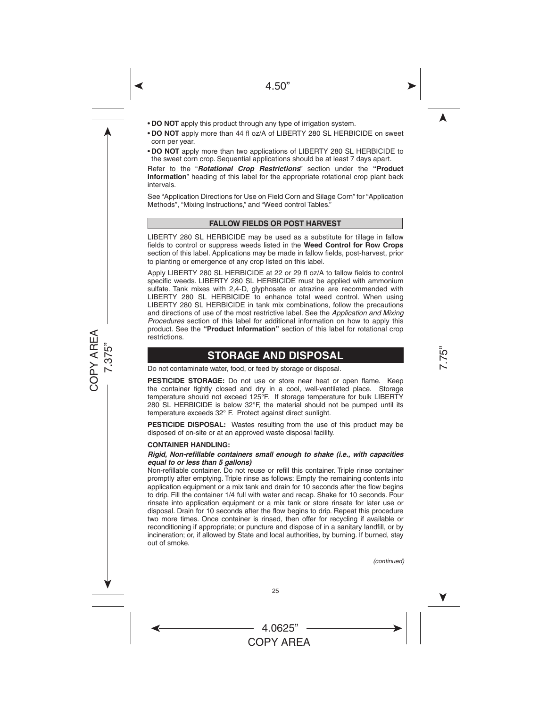- **DO NOT** apply this product through any type of irrigation system.
- **DO NOT** apply more than 44 fl oz/A of LIBERTY 280 SL HERBICIDE on sweet corn per year.
- • **DO NOT** apply more than two applications of LIBERTY 280 SL HERBICIDE to the sweet corn crop. Sequential applications should be at least 7 days apart.

Refer to the "*Rotational Crop Restrictions*" section under the **"Product Information**" heading of this label for the appropriate rotational crop plant back intervals.

See "Application Directions for Use on Field Corn and Silage Corn" for "Application Methods", "Mixing Instructions," and "Weed control Tables."

#### **FALLOW FIELDS OR POST HARVEST**

LIBERTY 280 SL HERBICIDE may be used as a substitute for tillage in fallow fields to control or suppress weeds listed in the **Weed Control for Row Crops**  section of this label. Applications may be made in fallow fields, post-harvest, prior to planting or emergence of any crop listed on this label.

Apply LIBERTY 280 SL HERBICIDE at 22 or 29 fl oz/A to fallow fields to control specific weeds. LIBERTY 280 SL HERBICIDE must be applied with ammonium sulfate. Tank mixes with 2,4-D, glyphosate or atrazine are recommended with LIBERTY 280 SL HERBICIDE to enhance total weed control. When using LIBERTY 280 SL HERBICIDE in tank mix combinations, follow the precautions and directions of use of the most restrictive label. See the *Application and Mixing Procedures* section of this label for additional information on how to apply this product. See the **"Product Information"** section of this label for rotational crop restrictions.

## **STORAGE AND DISPOSAL**

Do not contaminate water, food, or feed by storage or disposal.

**PESTICIDE STORAGE:** Do not use or store near heat or open flame. Keep the container tightly closed and dry in a cool, well-ventilated place. Storage temperature should not exceed 125°F. If storage temperature for bulk LIBERTY 280 SL HERBICIDE is below 32°F, the material should not be pumped until its temperature exceeds 32° F. Protect against direct sunlight.

**PESTICIDE DISPOSAL:** Wastes resulting from the use of this product may be disposed of on-site or at an approved waste disposal facility.

#### **CONTAINER HANDLING:**

#### *Rigid, Non-refillable containers small enough to shake (i.e., with capacities equal to or less than 5 gallons)*

Non-refillable container. Do not reuse or refill this container. Triple rinse container promptly after emptying. Triple rinse as follows: Empty the remaining contents into application equipment or a mix tank and drain for 10 seconds after the flow begins to drip. Fill the container 1/4 full with water and recap. Shake for 10 seconds. Pour rinsate into application equipment or a mix tank or store rinsate for later use or disposal. Drain for 10 seconds after the flow begins to drip. Repeat this procedure two more times. Once container is rinsed, then offer for recycling if available or reconditioning if appropriate; or puncture and dispose of in a sanitary landfill, or by incineration; or, if allowed by State and local authorities, by burning. If burned, stay out of smoke.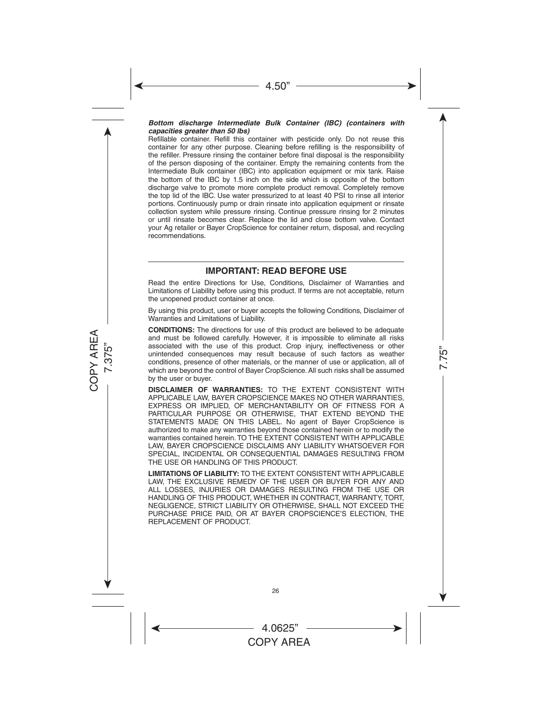#### *Bottom discharge Intermediate Bulk Container (IBC) (containers with capacities greater than 50 lbs)*

Refillable container. Refill this container with pesticide only. Do not reuse this container for any other purpose. Cleaning before refilling is the responsibility of the refiller. Pressure rinsing the container before final disposal is the responsibility of the person disposing of the container. Empty the remaining contents from the Intermediate Bulk container (IBC) into application equipment or mix tank. Raise the bottom of the IBC by 1.5 inch on the side which is opposite of the bottom discharge valve to promote more complete product removal. Completely remove the top lid of the IBC. Use water pressurized to at least 40 PSI to rinse all interior portions. Continuously pump or drain rinsate into application equipment or rinsate collection system while pressure rinsing. Continue pressure rinsing for 2 minutes or until rinsate becomes clear. Replace the lid and close bottom valve. Contact your Ag retailer or Bayer CropScience for container return, disposal, and recycling recommendations.

## **IMPORTANT: READ BEFORE USE**

Read the entire Directions for Use, Conditions, Disclaimer of Warranties and Limitations of Liability before using this product. If terms are not acceptable, return the unopened product container at once.

By using this product, user or buyer accepts the following Conditions, Disclaimer of Warranties and Limitations of Liability.

**CONDITIONS:** The directions for use of this product are believed to be adequate and must be followed carefully. However, it is impossible to eliminate all risks associated with the use of this product. Crop injury, ineffectiveness or other unintended consequences may result because of such factors as weather conditions, presence of other materials, or the manner of use or application, all of which are beyond the control of Bayer CropScience. All such risks shall be assumed by the user or buyer.

**DISCLAIMER OF WARRANTIES:** TO THE EXTENT CONSISTENT WITH APPLICABLE LAW, BAYER CROPSCIENCE MAKES NO OTHER WARRANTIES, EXPRESS OR IMPLIED, OF MERCHANTABILITY OR OF FITNESS FOR A PARTICULAR PURPOSE OR OTHERWISE, THAT EXTEND BEYOND THE STATEMENTS MADE ON THIS LABEL. No agent of Bayer CropScience is authorized to make any warranties beyond those contained herein or to modify the warranties contained herein. TO THE EXTENT CONSISTENT WITH APPLICABLE LAW, BAYER CROPSCIENCE DISCLAIMS ANY LIABILITY WHATSOEVER FOR SPECIAL, INCIDENTAL OR CONSEQUENTIAL DAMAGES RESULTING FROM THE USE OR HANDLING OF THIS PRODUCT.

**LIMITATIONS OF LIABILITY:** TO THE EXTENT CONSISTENT WITH APPLICABLE LAW, THE EXCLUSIVE REMEDY OF THE USER OR BUYER FOR ANY AND ALL LOSSES, INJURIES OR DAMAGES RESULTING FROM THE USE OR HANDLING OF THIS PRODUCT, WHETHER IN CONTRACT, WARRANTY, TORT, NEGLIGENCE, STRICT LIABILITY OR OTHERWISE, SHALL NOT EXCEED THE PURCHASE PRICE PAID, OR AT BAYER CROPSCIENCE'S ELECTION, THE REPLACEMENT OF PRODUCT.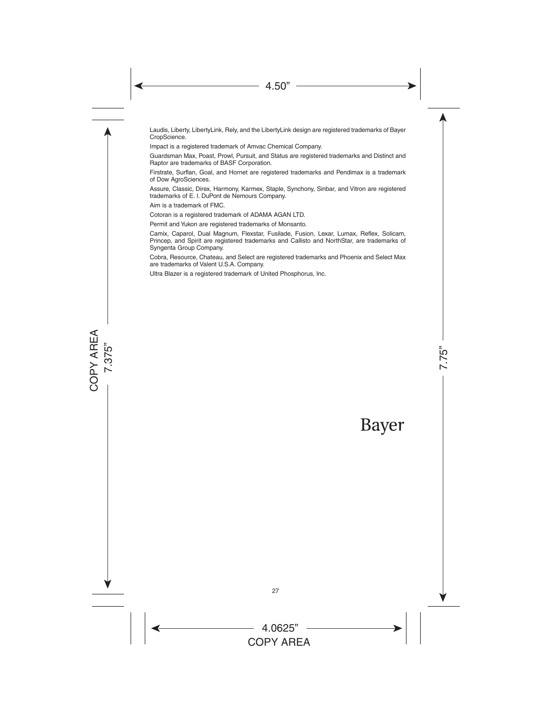Laudis, Liberty, LibertyLink, Rely, and the LibertyLink design are registered trademarks of Bayer CropScience.

Impact is a registered trademark of Amvac Chemical Company.

Guardsman Max, Poast, Prowl, Pursuit, and Status are registered trademarks and Distinct and Raptor are trademarks of BASF Corporation.

Firstrate, Surflan, Goal, and Hornet are registered trademarks and Pendimax is a trademark of Dow AgroSciences.

Assure, Classic, Direx, Harmony, Karmex, Staple, Synchony, Sinbar, and Vitron are registered trademarks of E. I. DuPont de Nemours Company.

Aim is a trademark of FMC.

Cotoran is a registered trademark of ADAMA AGAN LTD.

Permit and Yukon are registered trademarks of Monsanto.

Camix, Caparol, Dual Magnum, Flexstar, Fusilade, Fusion, Lexar, Lumax, Reflex, Solicam, Princep, and Spirit are registered trademarks and Callisto and NorthStar, are trademarks of Syngenta Group Company.

Cobra, Resource, Chateau, and Select are registered trademarks and Phoenix and Select Max are trademarks of Valent U.S.A. Company.

Ultra Blazer is a registered trademark of United Phosphorus, Inc.

# Bayer